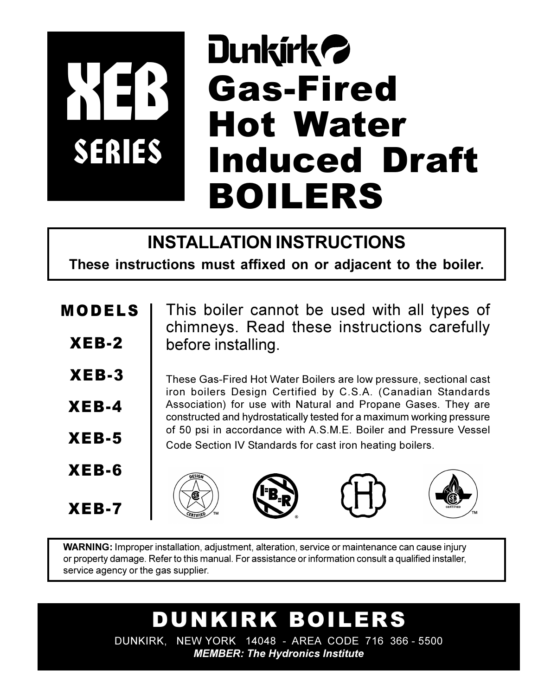# **Dunkirk 2 Gas-Fired Hot Water** SERIES **Induced Draft BOILERS**

## **INSTALLATION INSTRUCTIONS**

These instructions must affixed on or adjacent to the boiler.

**MODELS**  $XEB-2$  $XEB-3$  $XEB-4$ 

 $XEB-5$ 

 $XEB-6$ 

 $XEB-7$ 

This boiler cannot be used with all types of chimneys. Read these instructions carefully before installing.

These Gas-Fired Hot Water Boilers are low pressure, sectional cast iron boilers Design Certified by C.S.A. (Canadian Standards Association) for use with Natural and Propane Gases. They are constructed and hydrostatically tested for a maximum working pressure of 50 psi in accordance with A.S.M.E. Boiler and Pressure Vessel Code Section IV Standards for cast iron heating boilers.









**WARNING:** Improper installation, adjustment, alteration, service or maintenance can cause injury or property damage. Refer to this manual. For assistance or information consult a qualified installer, service agency or the gas supplier.

> DUNKIRK BOILERS DUNKIRK, NEW YORK 14048 - AREA CODE 716 366 - 5500

**MEMBER: The Hydronics Institute**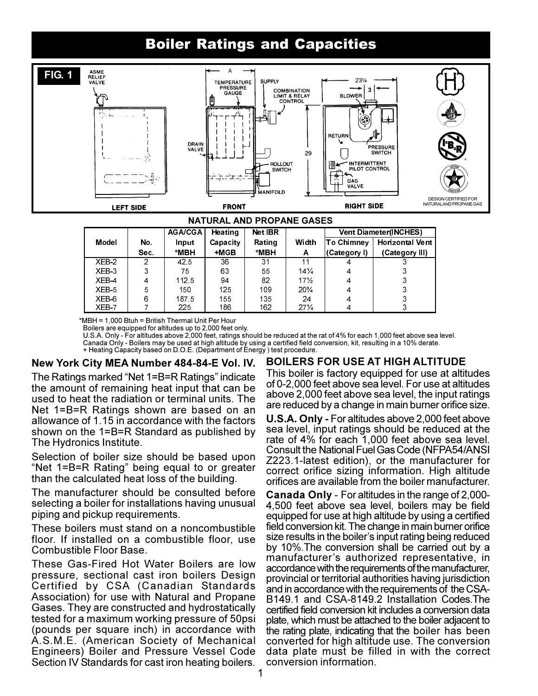## **Boiler Ratings and Capacities**



|         |      | <b>AGA/CGA</b> | Heating  | <b>Net IBR</b> |                 |              | <b>Vent Diameter(INCHES)</b> |
|---------|------|----------------|----------|----------------|-----------------|--------------|------------------------------|
| Model   | No.  | Input          | Capacity | Rating         | Width           | ∣To Chimnev  | <b>Horizontal Vent</b>       |
|         | Sec. | *MBH           | $+MGB$   | *MBH           | A               | (Category I) | (Category III)               |
| $XEB-2$ | 2    | 42.5           | 36       | 31             | 11              |              |                              |
| XEB-3   | 3    | 75             | 63       | 55             | $14\frac{1}{4}$ | 4            |                              |
| XEB-4   | 4    | 112.5          | 94       | 82             | $17\frac{1}{2}$ | 4            |                              |
| XEB-5   | 5    | 150            | 125      | 109            | $20\frac{3}{4}$ | 4            |                              |
| XEB-6   | 6    | 1875           | 155      | 135            | 24              | 4            |                              |
| XEB7    |      | 225            | 186      | 162            | $27\frac{1}{4}$ |              |                              |

\*MBH = 1,000 Btuh = British Thermal Unit Per Hour

Boilers are equipped for altitudes up to 2,000 feet only.

U.S.A. Only - For altitudes above 2,000 feet, ratings should be reduced at the rat of 4% for each 1,000 feet above sea level. Canada Only - Boilers may be used at high altitude by using a certified field conversion, kit, resulting in a 10% derate. + Heating Capacity based on D.O.E. (Department of Energy) test procedure.

#### New York City MEA Number 484-84-E Vol. IV.

The Ratings marked "Net 1=B=R Ratings" indicate the amount of remaining heat input that can be used to heat the radiation or terminal units. The Net 1=B=R Ratings shown are based on an allowance of 1.15 in accordance with the factors shown on the 1=B=R Standard as published by The Hydronics Institute.

Selection of boiler size should be based upon "Net 1=B=R Rating" being equal to or greater than the calculated heat loss of the building.

The manufacturer should be consulted before selecting a boiler for installations having unusual piping and pickup requirements.

These boilers must stand on a noncombustible floor. If installed on a combustible floor, use Combustible Floor Base

These Gas-Fired Hot Water Boilers are low pressure, sectional cast iron boilers Design Certified by CSA (Canadian Standards Association) for use with Natural and Propane Gases. They are constructed and hydrostatically tested for a maximum working pressure of 50psi (pounds per square inch) in accordance with A.S.M.E. (American Society of Mechanical Engineers) Boiler and Pressure Vessel Code Section IV Standards for cast iron heating boilers.

#### **BOILERS FOR USE AT HIGH ALTITUDE**

This boiler is factory equipped for use at altitudes of 0-2,000 feet above sea level. For use at altitudes above 2,000 feet above sea level, the input ratings are reduced by a change in main burner orifice size.

**U.S.A. Only - For altitudes above 2,000 feet above** sea level, input ratings should be reduced at the rate of 4% for each 1,000 feet above sea level. **Consult the National Fuel Gas Code (NFPA54/ANSI)** Z223.1-latest edition), or the manufacturer for correct orifice sizing information. High altitude orifices are available from the boiler manufacturer.

**Canada Only** - For altitudes in the range of 2,000-4,500 feet above sea level, boilers may be field equipped for use at high altitude by using a certified field conversion kit. The change in main burner orifice size results in the boiler's input rating being reduced by 10%. The conversion shall be carried out by a manufacturer's authorized representative, in accordance with the requirements of the manufacturer, provincial or territorial authorities having jurisdiction and in accordance with the requirements of the CSA-B149.1 and CSA-8149.2 Installation Codes. The certified field conversion kit includes a conversion data plate, which must be attached to the boiler adjacent to the rating plate, indicating that the boiler has been converted for high altitude use. The conversion data plate must be filled in with the correct conversion information.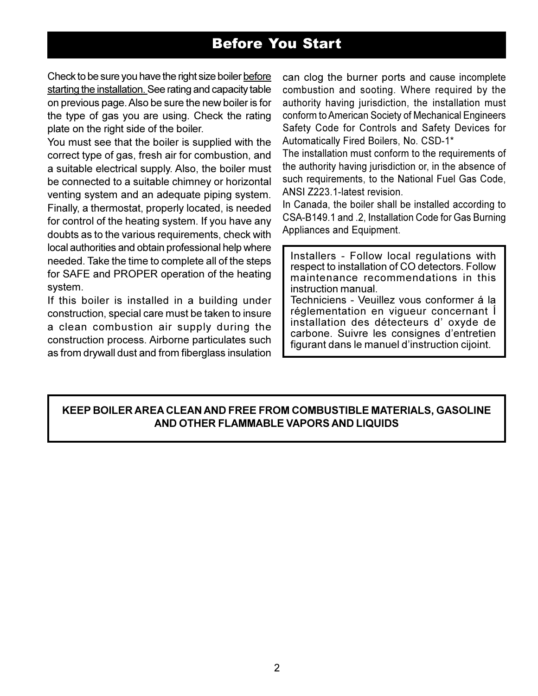## **Before You Start**

Check to be sure you have the right size boiler before starting the installation. See rating and capacity table on previous page. Also be sure the new boiler is for the type of gas you are using. Check the rating plate on the right side of the boiler.

You must see that the boiler is supplied with the correct type of gas, fresh air for combustion, and a suitable electrical supply. Also, the boiler must be connected to a suitable chimney or horizontal venting system and an adequate piping system. Finally, a thermostat, properly located, is needed for control of the heating system. If you have any doubts as to the various requirements, check with local authorities and obtain professional help where needed. Take the time to complete all of the steps for SAFE and PROPER operation of the heating system.

If this boiler is installed in a building under construction, special care must be taken to insure a clean combustion air supply during the construction process. Airborne particulates such as from drywall dust and from fiberglass insulation can clog the burner ports and cause incomplete combustion and sooting. Where required by the authority having jurisdiction, the installation must conform to American Society of Mechanical Engineers Safety Code for Controls and Safety Devices for Automatically Fired Boilers, No. CSD-1\*

The installation must conform to the requirements of the authority having jurisdiction or, in the absence of such requirements, to the National Fuel Gas Code, ANSI Z223.1-latest revision.

In Canada, the boiler shall be installed according to CSA-B149.1 and .2, Installation Code for Gas Burning Appliances and Equipment.

Installers - Follow local regulations with respect to installation of CO detectors. Follow maintenance recommendations in this instruction manual.

Techniciens - Veuillez vous conformer á la réglementation en vigueur concernant l installation des détecteurs d'oxyde de carbone. Suivre les consignes d'entretien figurant dans le manuel d'instruction cijoint.

#### KEEP BOILER AREA CLEAN AND FREE FROM COMBUSTIBLE MATERIALS, GASOLINE AND OTHER FLAMMABLE VAPORS AND LIQUIDS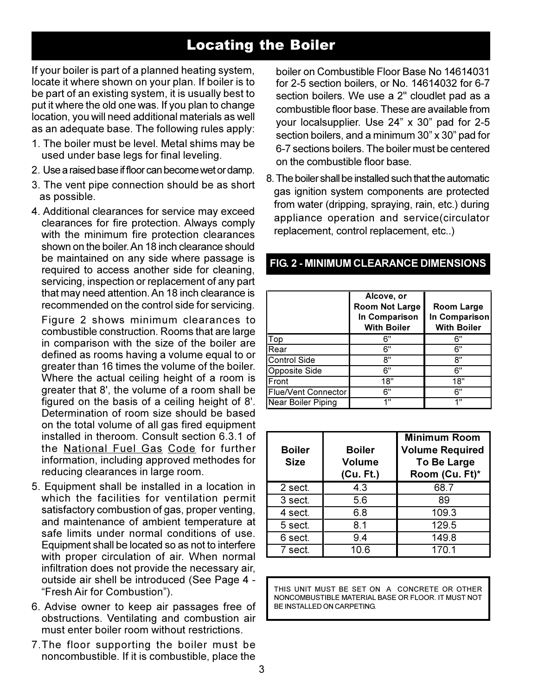## **Locating the Boiler**

If your boiler is part of a planned heating system, locate it where shown on your plan. If boiler is to be part of an existing system, it is usually best to put it where the old one was. If you plan to change location, you will need additional materials as well as an adequate base. The following rules apply:

- 1. The boiler must be level. Metal shims may be used under base legs for final leveling.
- 2. Use a raised base if floor can become wet or damp.
- 3. The vent pipe connection should be as short as possible.
- 4. Additional clearances for service may exceed clearances for fire protection. Always comply with the minimum fire protection clearances shown on the boiler. An 18 inch clearance should be maintained on any side where passage is required to access another side for cleaning, servicing, inspection or replacement of any part that may need attention. An 18 inch clearance is recommended on the control side for servicing.

Figure 2 shows minimum clearances to combustible construction. Rooms that are large in comparison with the size of the boiler are defined as rooms having a volume equal to or greater than 16 times the volume of the boiler. Where the actual ceiling height of a room is greater that 8', the volume of a room shall be figured on the basis of a ceiling height of 8'. Determination of room size should be based on the total volume of all gas fired equipment installed in theroom. Consult section 6.3.1 of the National Fuel Gas Code for further information, including approved methodes for reducing clearances in large room.

- 5. Equipment shall be installed in a location in which the facilities for ventilation permit satisfactory combustion of gas, proper venting, and maintenance of ambient temperature at safe limits under normal conditions of use. Equipment shall be located so as not to interfere with proper circulation of air. When normal infiltration does not provide the necessary air, outside air shell be introduced (See Page 4 -"Fresh Air for Combustion").
- 6. Advise owner to keep air passages free of obstructions. Ventilating and combustion air must enter boiler room without restrictions
- 7. The floor supporting the boiler must be noncombustible. If it is combustible, place the

boiler on Combustible Floor Base No 14614031 for 2-5 section boilers, or No. 14614032 for 6-7 section boilers. We use a 2" cloudlet pad as a combustible floor base. These are available from your localsupplier. Use 24" x 30" pad for 2-5 section boilers, and a minimum 30" x 30" pad for 6-7 sections boilers. The boiler must be centered on the combustible floor base.

8. The boiler shall be installed such that the automatic gas ignition system components are protected from water (dripping, spraying, rain, etc.) during appliance operation and service(circulator replacement, control replacement, etc..)

|                            | Alcove, or<br><b>Room Not Large</b><br>In Comparison<br><b>With Boiler</b> | <b>Room Large</b><br>In Comparison<br><b>With Boiler</b> |
|----------------------------|----------------------------------------------------------------------------|----------------------------------------------------------|
| Гор                        | 6"                                                                         | 6"                                                       |
| Rear                       | 6"                                                                         | 6"                                                       |
| <b>Control Side</b>        | 8"                                                                         | יא                                                       |
| <b>Opposite Side</b>       | 6"                                                                         | 6"                                                       |
| Front                      | 18"                                                                        | 18"                                                      |
| <b>Flue/Vent Connector</b> | 6"                                                                         | 6"                                                       |
| <b>Near Boiler Piping</b>  | 411                                                                        | 4 !!                                                     |

#### FIG. 2 - MINIMUM CLEARANCE DIMENSIONS

| <b>Boiler</b><br><b>Size</b> | <b>Boiler</b><br><b>Volume</b><br>(Cu. Ft.) | <b>Minimum Room</b><br><b>Volume Required</b><br><b>To Be Large</b><br>Room (Cu. Ft)* |
|------------------------------|---------------------------------------------|---------------------------------------------------------------------------------------|
| 2 sect.                      | 4.3                                         | 68.7                                                                                  |
| 3 sect.                      | 5.6                                         | 89                                                                                    |
| 4 sect.                      | 6.8                                         | 109.3                                                                                 |
| 5 sect.                      | 8.1                                         | 129.5                                                                                 |
| 6 sect.                      | 9.4                                         | 149.8                                                                                 |
| 7 sect.                      | 10.6                                        | 170.1                                                                                 |

THIS UNIT MUST BE SET ON A CONCRETE OR OTHER NONCOMBUSTIBLE MATERIAL BASE OR FLOOR. IT MUST NOT BE INSTALLED ON CARPETING.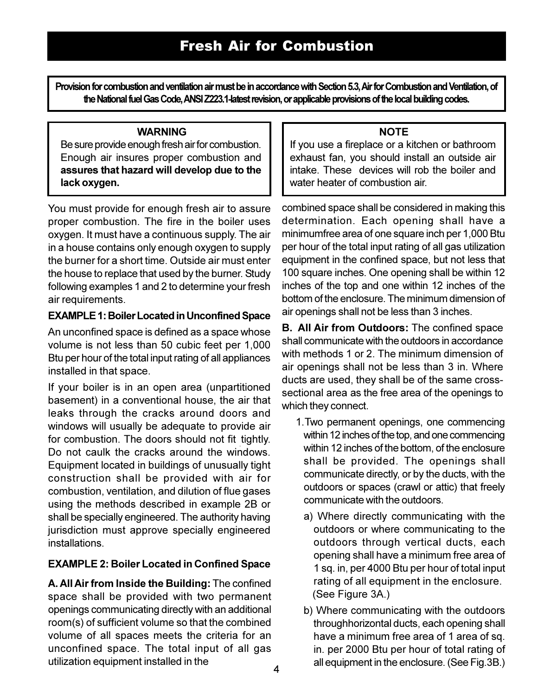Provision for combustion and ventilation air must be in accordance with Section 5.3, Air for Combustion and Ventilation, of the National fuel Gas Code, ANSI Z223.1-latest revision, or applicable provisions of the local building codes.

#### **WARNING**

Be sure provide enough fresh air for combustion. Enough air insures proper combustion and assures that hazard will develop due to the lack oxygen.

You must provide for enough fresh air to assure proper combustion. The fire in the boiler uses oxygen. It must have a continuous supply. The air in a house contains only enough oxygen to supply the burner for a short time. Outside air must enter the house to replace that used by the burner. Study following examples 1 and 2 to determine your fresh air requirements.

#### **EXAMPLE 1: Boiler Located in Unconfined Space**

An unconfined space is defined as a space whose volume is not less than 50 cubic feet per 1,000 Btu per hour of the total input rating of all appliances installed in that space.

If your boiler is in an open area (unpartitioned basement) in a conventional house, the air that leaks through the cracks around doors and windows will usually be adequate to provide air for combustion. The doors should not fit tightly. Do not caulk the cracks around the windows. Equipment located in buildings of unusually tight construction shall be provided with air for combustion, ventilation, and dilution of flue gases using the methods described in example 2B or shall be specially engineered. The authority having jurisdiction must approve specially engineered installations.

#### **EXAMPLE 2: Boiler Located in Confined Space**

A. All Air from Inside the Building: The confined space shall be provided with two permanent openings communicating directly with an additional room(s) of sufficient volume so that the combined volume of all spaces meets the criteria for an unconfined space. The total input of all gas utilization equipment installed in the

#### **NOTE**

If you use a fireplace or a kitchen or bathroom exhaust fan. vou should install an outside air intake. These devices will rob the boiler and water heater of combustion air.

combined space shall be considered in making this determination. Each opening shall have a minimumfree area of one square inch per 1,000 Btu per hour of the total input rating of all gas utilization equipment in the confined space, but not less that 100 square inches. One opening shall be within 12 inches of the top and one within 12 inches of the bottom of the enclosure. The minimum dimension of air openings shall not be less than 3 inches.

**B. All Air from Outdoors:** The confined space shall communicate with the outdoors in accordance with methods 1 or 2. The minimum dimension of air openings shall not be less than 3 in. Where ducts are used, they shall be of the same crosssectional area as the free area of the openings to which they connect.

- 1. Two permanent openings, one commencing within 12 inches of the top, and one commencing within 12 inches of the bottom, of the enclosure shall be provided. The openings shall communicate directly, or by the ducts, with the outdoors or spaces (crawl or attic) that freely communicate with the outdoors
	- a) Where directly communicating with the outdoors or where communicating to the outdoors through vertical ducts, each opening shall have a minimum free area of 1 sq. in, per 4000 Btu per hour of total input rating of all equipment in the enclosure. (See Figure 3A.)
- b) Where communicating with the outdoors throughhorizontal ducts, each opening shall have a minimum free area of 1 area of sq. in. per 2000 Btu per hour of total rating of all equipment in the enclosure. (See Fig.3B.)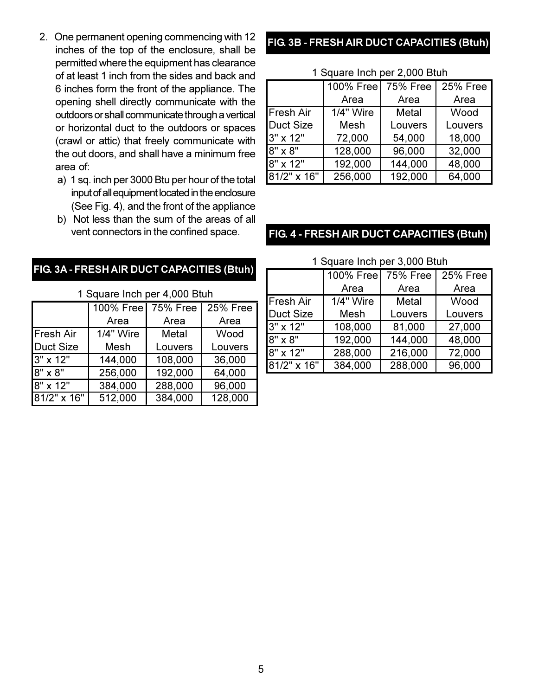- 2. One permanent opening commencing with 12 inches of the top of the enclosure, shall be permitted where the equipment has clearance of at least 1 inch from the sides and back and 6 inches form the front of the appliance. The opening shell directly communicate with the outdoors or shall communicate through a vertical or horizontal duct to the outdoors or spaces (crawl or attic) that freely communicate with the out doors, and shall have a minimum free area of:
	- a) 1 sq. inch per 3000 Btu per hour of the total input of all equipment located in the enclosure (See Fig. 4), and the front of the appliance
	- b) Not less than the sum of the areas of all vent connectors in the confined space.

#### FIG. 3A - FRESH AIR DUCT CAPACITIES (Btuh)

1 Square Inch per 4,000 Btuh

|                  | 100% Free        | <b>75% Free</b> | <b>25% Free</b> |
|------------------|------------------|-----------------|-----------------|
|                  | Area             | Area            | Area            |
| <b>Fresh Air</b> | <b>1/4" Wire</b> | Metal           | Wood            |
| <b>Duct Size</b> | Mesh             | Louvers         | Louvers         |
| 3" x 12"         | 144,000          | 108,000         | 36,000          |
| $8" \times 8"$   | 256,000          | 192,000         | 64,000          |
| 8" x 12"         | 384,000          | 288,000         | 96,000          |
| $81/2"$ x 16"    | 512,000          | 384,000         | 128,000         |

### FIG. 3B - FRESH AIR DUCT CAPACITIES (Btuh)

| 100% Free   75% Free |           |         | 25% Free |  |
|----------------------|-----------|---------|----------|--|
|                      | Area      | Area    | Area     |  |
| <b>Fresh Air</b>     | 1/4" Wire | Metal   | Wood     |  |
| <b>Duct Size</b>     | Mesh      | Louvers | Louvers  |  |
| 3" x 12"             | 72,000    | 54,000  | 18,000   |  |
| 8" x 8"              | 128,000   | 96,000  | 32,000   |  |
| 8" x 12"             | 192,000   | 144,000 | 48,000   |  |
| 81/2" x 16"          | 256,000   | 192,000 | 64,000   |  |

#### 1 Square Inch per 2 000 Btuh

#### FIG. 4 - FRESH AIR DUCT CAPACITIES (Btuh)

1 Square Inch per 3,000 Btuh

|                  | 100% Free | <b>75% Free</b> | <b>25% Free</b> |
|------------------|-----------|-----------------|-----------------|
|                  | Area      | Area            | Area            |
| <b>Fresh Air</b> | 1/4" Wire | Metal           | Wood            |
| <b>Duct Size</b> | Mesh      | Louvers         | Louvers         |
| 3" x 12"         | 108,000   | 81,000          | 27,000          |
| 8" x 8"          | 192,000   | 144,000         | 48,000          |
| 8" x 12"         | 288,000   | 216,000         | 72,000          |
| 81/2" x 16"      | 384,000   | 288,000         | 96,000          |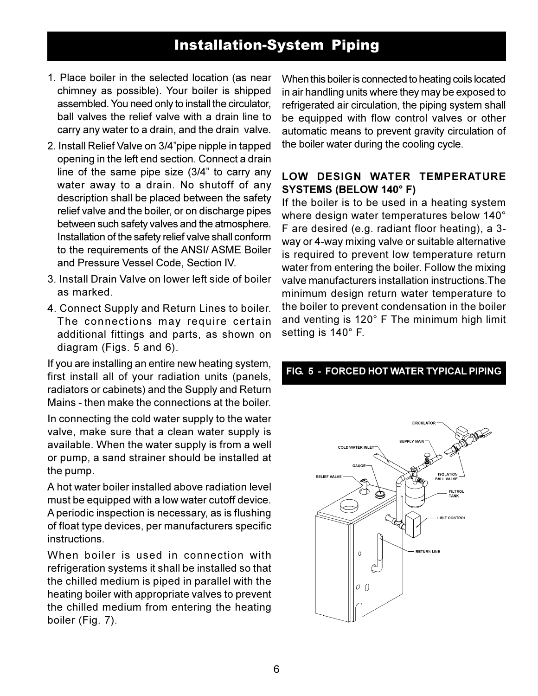## **Installation-System Piping**

- 1. Place boiler in the selected location (as near chimney as possible). Your boiler is shipped assembled. You need only to install the circulator, ball valves the relief valve with a drain line to carry any water to a drain, and the drain valve.
- 2. Install Relief Valve on 3/4"pipe nipple in tapped opening in the left end section. Connect a drain line of the same pipe size (3/4" to carry any water away to a drain. No shutoff of any description shall be placed between the safety relief valve and the boiler, or on discharge pipes between such safety valves and the atmosphere. Installation of the safety relief valve shall conform to the requirements of the ANSI/ ASME Boiler and Pressure Vessel Code, Section IV.
- 3. Install Drain Valve on lower left side of boiler as marked.
- 4. Connect Supply and Return Lines to boiler. The connections may require certain additional fittings and parts, as shown on diagram (Figs. 5 and 6).

If you are installing an entire new heating system. first install all of your radiation units (panels, radiators or cabinets) and the Supply and Return Mains - then make the connections at the boiler.

In connecting the cold water supply to the water valve, make sure that a clean water supply is available. When the water supply is from a well or pump, a sand strainer should be installed at the pump.

A hot water boiler installed above radiation level must be equipped with a low water cutoff device. A periodic inspection is necessary, as is flushing of float type devices, per manufacturers specific instructions

When boiler is used in connection with refrigeration systems it shall be installed so that the chilled medium is piped in parallel with the heating boiler with appropriate valves to prevent the chilled medium from entering the heating boiler (Fig. 7).

When this boiler is connected to heating coils located in air handling units where they may be exposed to refrigerated air circulation, the piping system shall be equipped with flow control valves or other automatic means to prevent gravity circulation of the boiler water during the cooling cycle.

#### LOW DESIGN WATER TEMPERATURE **SYSTEMS (BELOW 140° F)**

If the boiler is to be used in a heating system where design water temperatures below 140° F are desired (e.g. radiant floor heating), a 3way or 4-way mixing valve or suitable alternative is required to prevent low temperature return water from entering the boiler. Follow the mixing valve manufacturers installation instructions. The minimum design return water temperature to the boiler to prevent condensation in the boiler and venting is 120° F The minimum high limit setting is 140° F.



#### FIG. 5 - FORCED HOT WATER TYPICAL PIPING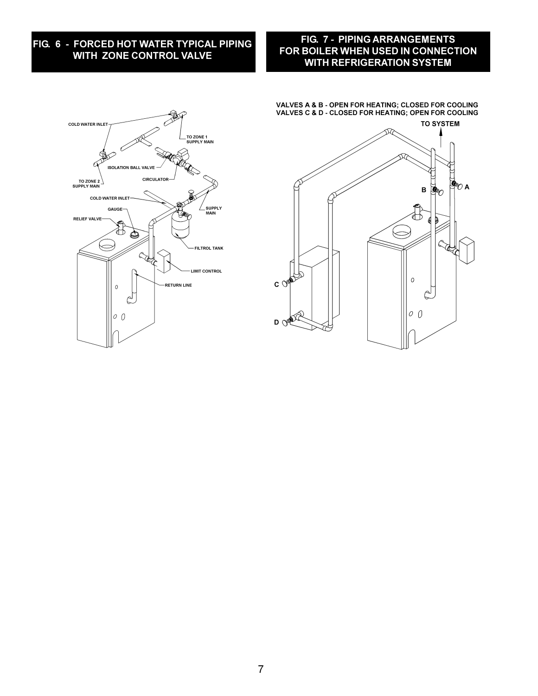#### FIG. 6 - FORCED HOT WATER TYPICAL PIPING WITH ZONE CONTROL VALVE

#### FIG. 7 - PIPING ARRANGEMENTS FOR BOILER WHEN USED IN CONNECTION **WITH REFRIGERATION SYSTEM**



VALVES A & B - OPEN FOR HEATING; CLOSED FOR COOLING VALVES C & D - CLOSED FOR HEATING; OPEN FOR COOLING

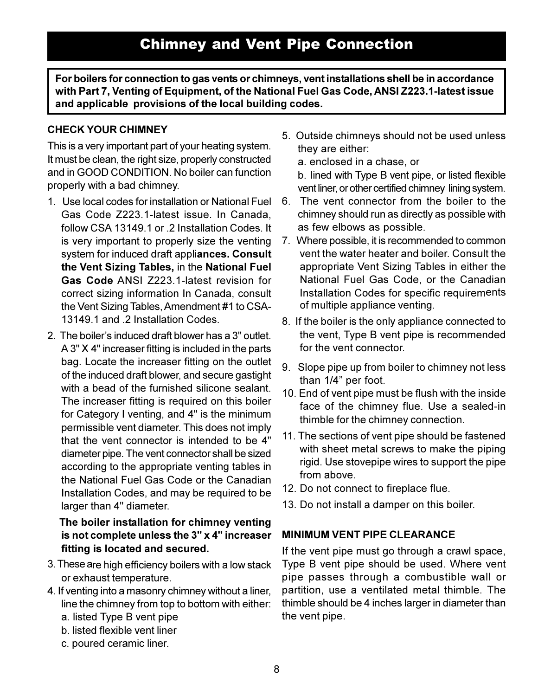For boilers for connection to gas vents or chimneys, vent installations shell be in accordance with Part 7, Venting of Equipment, of the National Fuel Gas Code, ANSI Z223.1-latest issue and applicable provisions of the local building codes.

#### **CHECK YOUR CHIMNEY**

This is a very important part of your heating system. It must be clean, the right size, properly constructed and in GOOD CONDITION. No boiler can function properly with a bad chimney.

- 1. Use local codes for installation or National Fuel Gas Code Z223.1-latest issue. In Canada. follow CSA 13149.1 or .2 Installation Codes. It is very important to properly size the venting system for induced draft appliances. Consult the Vent Sizing Tables, in the National Fuel Gas Code ANSI Z223.1-latest revision for correct sizing information In Canada, consult the Vent Sizing Tables, Amendment #1 to CSA-13149 1 and 2 Installation Codes
- 2. The boiler's induced draft blower has a 3" outlet. A 3" X 4" increaser fitting is included in the parts bag. Locate the increaser fitting on the outlet of the induced draft blower, and secure gastight with a bead of the furnished silicone sealant. The increaser fitting is required on this boiler for Category I venting, and 4" is the minimum permissible vent diameter. This does not imply that the vent connector is intended to be 4" diameter pipe. The vent connector shall be sized according to the appropriate venting tables in the National Fuel Gas Code or the Canadian Installation Codes, and may be required to be larger than 4" diameter.

#### The boiler installation for chimney venting is not complete unless the 3" x 4" increaser fitting is located and secured.

- 3. These are high efficiency boilers with a low stack or exhaust temperature.
- 4. If venting into a masonry chimney without a liner, line the chimney from top to bottom with either:
	- a. listed Type B vent pipe
	- b. listed flexible vent liner
	- c. poured ceramic liner.

5. Outside chimneys should not be used unless they are either:

a. enclosed in a chase, or

b. lined with Type B vent pipe, or listed flexible vent liner, or other certified chimney lining system.

- The vent connector from the boiler to the 6. chimney should run as directly as possible with as few elbows as possible.
- 7. Where possible, it is recommended to common vent the water heater and boiler. Consult the appropriate Vent Sizing Tables in either the National Fuel Gas Code, or the Canadian Installation Codes for specific requirements of multiple appliance venting.
- 8. If the boiler is the only appliance connected to the vent. Type B vent pipe is recommended for the vent connector.
- 9. Slope pipe up from boiler to chimney not less than 1/4" per foot.
- 10. End of vent pipe must be flush with the inside face of the chimney flue. Use a sealed-in thimble for the chimney connection.
- 11. The sections of vent pipe should be fastened with sheet metal screws to make the piping rigid. Use stovepipe wires to support the pipe from above.
- 12. Do not connect to fireplace flue.
- 13. Do not install a damper on this boiler.

#### **MINIMUM VENT PIPE CLEARANCE**

If the vent pipe must go through a crawl space, Type B vent pipe should be used. Where vent pipe passes through a combustible wall or partition, use a ventilated metal thimble. The thimble should be 4 inches larger in diameter than the vent pipe.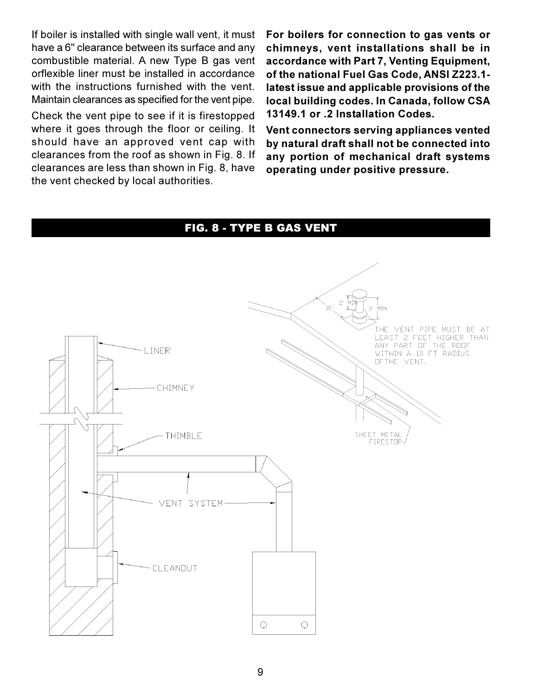If boiler is installed with single wall vent, it must have a 6" clearance between its surface and any combustible material. A new Type B gas vent orflexible liner must be installed in accordance with the instructions furnished with the vent. Maintain clearances as specified for the vent pipe.

Check the vent pipe to see if it is firestopped where it goes through the floor or ceiling. It should have an approved vent cap with clearances from the roof as shown in Fig. 8. If clearances are less than shown in Fig. 8, have the vent checked by local authorities.

For boilers for connection to gas vents or chimneys, vent installations shall be in accordance with Part 7, Venting Equipment, of the national Fuel Gas Code, ANSI Z223.1latest issue and applicable provisions of the local building codes. In Canada, follow CSA 13149.1 or .2 Installation Codes.

Vent connectors serving appliances vented by natural draft shall not be connected into any portion of mechanical draft systems operating under positive pressure.

#### FIG. 8 - TYPE B GAS VENT

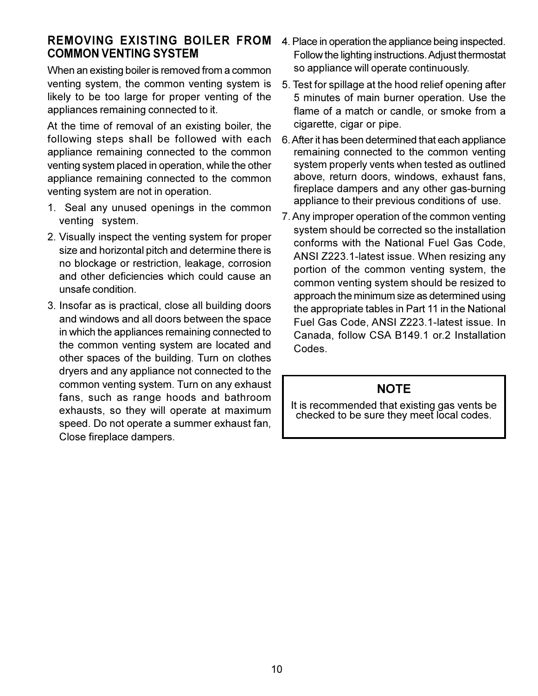#### **REMOVING EXISTING BOILER FROM COMMON VENTING SYSTEM**

When an existing boiler is removed from a common venting system, the common venting system is likely to be too large for proper venting of the appliances remaining connected to it.

At the time of removal of an existing boiler, the following steps shall be followed with each appliance remaining connected to the common venting system placed in operation, while the other appliance remaining connected to the common venting system are not in operation.

- 1. Seal any unused openings in the common venting system.
- 2. Visually inspect the venting system for proper size and horizontal pitch and determine there is no blockage or restriction, leakage, corrosion and other deficiencies which could cause an unsafe condition.
- 3. Insofar as is practical, close all building doors and windows and all doors between the space in which the appliances remaining connected to the common venting system are located and other spaces of the building. Turn on clothes dryers and any appliance not connected to the common venting system. Turn on any exhaust fans, such as range hoods and bathroom exhausts, so they will operate at maximum speed. Do not operate a summer exhaust fan, Close fireplace dampers.
- 4. Place in operation the appliance being inspected. Follow the lighting instructions. Adjust thermostat so appliance will operate continuously.
- 5. Test for spillage at the hood relief opening after 5 minutes of main burner operation. Use the flame of a match or candle, or smoke from a cigarette, cigar or pipe.
- 6. After it has been determined that each appliance remaining connected to the common venting system properly vents when tested as outlined above, return doors, windows, exhaust fans, fireplace dampers and any other gas-burning appliance to their previous conditions of use.
- 7. Any improper operation of the common venting system should be corrected so the installation conforms with the National Fuel Gas Code. ANSI Z223.1-latest issue. When resizing any portion of the common venting system, the common venting system should be resized to approach the minimum size as determined using the appropriate tables in Part 11 in the National Fuel Gas Code, ANSI Z223.1-latest issue, In Canada, follow CSA B149.1 or.2 Installation Codes

#### **NOTE**

It is recommended that existing gas vents be<br>checked to be sure they meet local codes.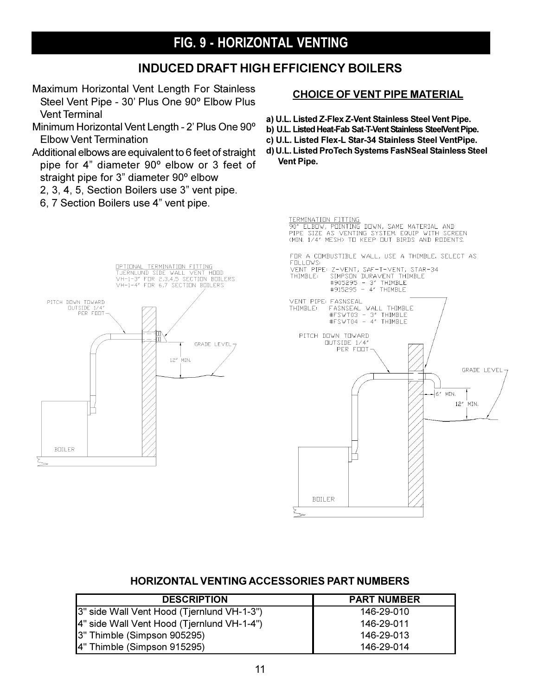## FIG. 9 - HORIZONTAL VENTING

#### **INDUCED DRAFT HIGH EFFICIENCY BOILERS**

- Maximum Horizontal Vent Length For Stainless Steel Vent Pipe - 30' Plus One 90° Elbow Plus **Vent Terminal**
- Minimum Horizontal Vent Length 2' Plus One 90° **Elbow Vent Termination**
- Additional elbows are equivalent to 6 feet of straight pipe for 4" diameter 90° elbow or 3 feet of straight pipe for 3" diameter 90° elbow

OPTIONAL TERMINATION FITTING

TUERNLUND SIDE WALL VENT HOOD<br>VH-1-3" FOR 2,3,4,5 SECTION BOILERS<br>VH-1-4" FOR 6,7 SECTION BOILERS

 $12<sup>s</sup>$ 'MIN. GRADE LEVEL-

- 2, 3, 4, 5, Section Boilers use 3" vent pipe.
- 6, 7 Section Boilers use 4" vent pipe.

PITCH DOWN TOWARD

**BULLER** 

DUTSIDE 1/4"<br>PER FOOT

#### **CHOICE OF VENT PIPE MATERIAL**

- a) U.L. Listed Z-Flex Z-Vent Stainless Steel Vent Pipe.
- b) U.L. Listed Heat-Fab Sat-T-Vent Stainless SteelVent Pipe.
- c) U.L. Listed Flex-L Star-34 Stainless Steel VentPipe.
- d) U.L. Listed ProTech Systems FasNSeal Stainless Steel Vent Pipe.

TERMINATION FITTING<br>90° ELBOW, POINTING DOWN, SAME MATERIAL AND<br>PIPE SIZE AS VENTING SYSTEM, EQUIP WITH SCREEN<br>(MIN, 1/4″ MESH) TO KEEP OUT BIRDS AND RODENTS, FOR A COMBUSTIBLE WALL, USE A THIMBLE, SELECT AS **FOLLOWS** VENT PIPE: Z-VENT, SAF-T-VENT, STAR-34 2 VENT, SHE THIMBLE<br>#905295 - 3" THIMBLE<br>#905295 - 4" THIMBLE<br>#915295 - 4" THIMBLE THIMBLE: VENT PIPE FASNSEAL FASNSEAL<br>#FSWT03 - 3" THIMBLE<br>#FSWT03 - 3" THIMBLE<br>#FSWT04 - 4" THIMBLE THIMBLE: PITCH DOWN TOWARD DUTSIDE 1/4"<br>PER FOOT GRADE LEVEL-461 MIN.  $12<sup>s</sup>$ .<br>MIN. П **BOILER** 

#### **HORIZONTAL VENTING ACCESSORIES PART NUMBERS**

| <b>DESCRIPTION</b>                          | <b>PART NUMBER</b> |
|---------------------------------------------|--------------------|
| [3" side Wall Vent Hood (Tjernlund VH-1-3") | 146-29-010         |
| [4" side Wall Vent Hood (Tjernlund VH-1-4") | 146-29-011         |
| [3" Thimble (Simpson 905295)                | 146-29-013         |
| 4" Thimble (Simpson 915295)                 | 146-29-014         |

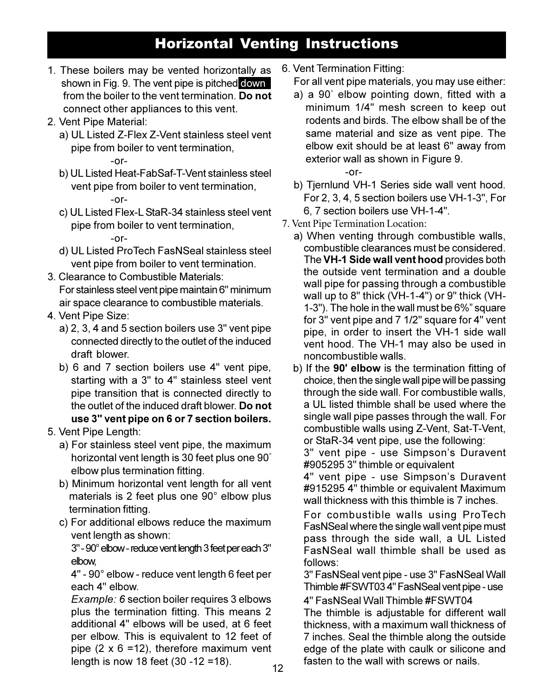## **Horizontal Venting Instructions**

- 1. These boilers may be vented horizontally as shown in Fig. 9. The vent pipe is pitched down from the boiler to the vent termination. Do not connect other appliances to this vent.
- 2. Vent Pipe Material:
	- a) UL Listed Z-Flex Z-Vent stainless steel vent pipe from boiler to vent termination,  $-0r-$
	- b) UL Listed Heat-FabSaf-T-Vent stainless steel vent pipe from boiler to vent termination,  $-0r-$
	- c) UL Listed Flex-L StaR-34 stainless steel vent pipe from boiler to vent termination,

#### $-0r-$

- d) UL Listed ProTech FasNSeal stainless steel vent pipe from boiler to vent termination.
- 3. Clearance to Combustible Materials: For stainless steel vent pipe maintain 6" minimum air space clearance to combustible materials.
- 4. Vent Pipe Size:
	- a) 2, 3, 4 and 5 section boilers use 3" vent pipe connected directly to the outlet of the induced draft blower
	- b) 6 and 7 section boilers use 4" vent pipe, starting with a 3" to 4" stainless steel vent pipe transition that is connected directly to the outlet of the induced draft blower. Do not use 3" vent pipe on 6 or 7 section boilers.
- 5. Vent Pipe Length:
	- a) For stainless steel vent pipe, the maximum horizontal vent length is 30 feet plus one 90° elbow plus termination fitting.
	- b) Minimum horizontal vent length for all vent materials is 2 feet plus one 90° elbow plus termination fitting.
	- c) For additional elbows reduce the maximum vent length as shown:

3" - 90° elbow - reduce vent length 3 feet per each 3" elbow.

4" - 90° elbow - reduce vent length 6 feet per each 4" elbow.

Example: 6 section boiler requires 3 elbows plus the termination fitting. This means 2 additional 4" elbows will be used, at 6 feet per elbow. This is equivalent to 12 feet of pipe  $(2 \times 6 = 12)$ , therefore maximum vent length is now 18 feet  $(30 - 12 = 18)$ .

- 6. Vent Termination Fitting:
	- For all vent pipe materials, you may use either:
	- a) a 90° elbow pointing down, fitted with a minimum 1/4" mesh screen to keep out rodents and birds. The elbow shall be of the same material and size as vent pipe. The elbow exit should be at least 6" away from exterior wall as shown in Figure 9.  $-0r-$
	- b) Tjernlund VH-1 Series side wall vent hood. For 2, 3, 4, 5 section boilers use VH-1-3", For 6. 7 section boilers use VH-1-4".
- 7. Vent Pipe Termination Location:
	- a) When venting through combustible walls. combustible clearances must be considered. The VH-1 Side wall vent hood provides both the outside vent termination and a double wall pipe for passing through a combustible wall up to 8" thick (VH-1-4") or 9" thick (VH-1-3"). The hole in the wall must be 6%" square for 3" vent pipe and 7 1/2" square for 4" vent pipe, in order to insert the VH-1 side wall vent hood. The VH-1 may also be used in noncombustible walls.
	- b) If the 90' elbow is the termination fitting of choice, then the single wall pipe will be passing through the side wall. For combustible walls. a UL listed thimble shall be used where the single wall pipe passes through the wall. For combustible walls using Z-Vent, Sat-T-Vent, or StaR-34 vent pipe, use the following:

3" vent pipe - use Simpson's Duravent #905295 3" thimble or equivalent

4" vent pipe - use Simpson's Duravent #915295 4" thimble or equivalent Maximum wall thickness with this thimble is 7 inches.

For combustible walls using ProTech FasNSeal where the single wall vent pipe must pass through the side wall, a UL Listed FasNSeal wall thimble shall be used as follows:

3" FasNSeal vent pipe - use 3" FasNSeal Wall Thimble #FSWT034" FasNSeal vent pipe - use

4" FasNSeal Wall Thimble #FSWT04 The thimble is adjustable for different wall thickness, with a maximum wall thickness of 7 inches. Seal the thimble along the outside edge of the plate with caulk or silicone and fasten to the wall with screws or nails.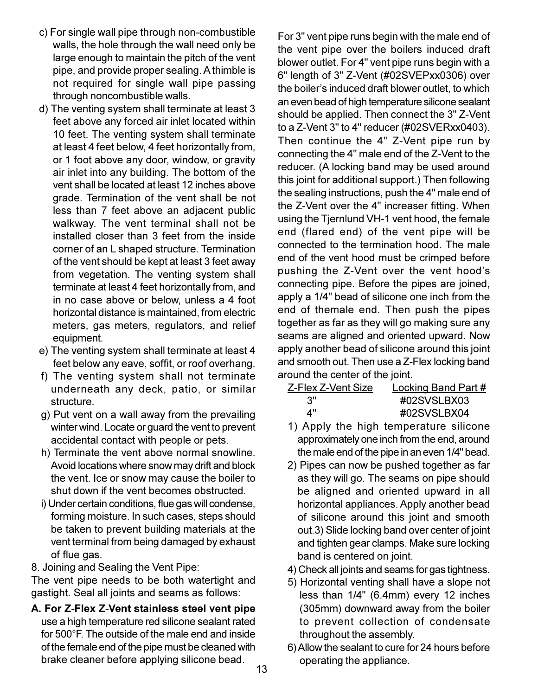- c) For single wall pipe through non-combustible walls, the hole through the wall need only be large enough to maintain the pitch of the vent pipe, and provide proper sealing. A thimble is not required for single wall pipe passing through noncombustible walls.
- d) The venting system shall terminate at least 3 feet above any forced air inlet located within 10 feet. The venting system shall terminate at least 4 feet below, 4 feet horizontally from, or 1 foot above any door, window, or gravity air inlet into any building. The bottom of the vent shall be located at least 12 inches above grade. Termination of the vent shall be not less than 7 feet above an adjacent public walkway. The vent terminal shall not be installed closer than 3 feet from the inside corner of an L shaped structure. Termination of the vent should be kept at least 3 feet away from vegetation. The venting system shall terminate at least 4 feet horizontally from, and in no case above or below, unless a 4 foot horizontal distance is maintained, from electric meters, gas meters, regulators, and relief equipment.
- e) The venting system shall terminate at least 4 feet below any eave, soffit, or roof overhang.
- f) The venting system shall not terminate underneath any deck, patio, or similar structure.
- g) Put vent on a wall away from the prevailing winter wind. Locate or guard the vent to prevent accidental contact with people or pets.
- h) Terminate the vent above normal snowline. Avoid locations where snow may drift and block the vent. Ice or snow may cause the boiler to shut down if the vent becomes obstructed.
- i) Under certain conditions, flue gas will condense, forming moisture. In such cases, steps should be taken to prevent building materials at the vent terminal from being damaged by exhaust of flue gas.

8. Joining and Sealing the Vent Pipe:

The vent pipe needs to be both watertight and gastight. Seal all joints and seams as follows:

A. For Z-Flex Z-Vent stainless steel vent pipe use a high temperature red silicone sealant rated for 500°F. The outside of the male end and inside of the female end of the pipe must be cleaned with brake cleaner before applying silicone bead.

For 3" vent pipe runs begin with the male end of the vent pipe over the boilers induced draft blower outlet. For 4" vent pipe runs begin with a 6" length of 3" Z-Vent (#02SVEPxx0306) over the boiler's induced draft blower outlet, to which an even bead of high temperature silicone sealant should be applied. Then connect the 3" Z-Vent to a Z-Vent 3" to 4" reducer (#02SVERxx0403). Then continue the 4" Z-Vent pipe run by connecting the 4" male end of the Z-Vent to the reducer. (A locking band may be used around this joint for additional support.) Then following the sealing instructions, push the 4" male end of the Z-Vent over the 4" increaser fitting. When using the Tjernlund VH-1 vent hood, the female end (flared end) of the vent pipe will be connected to the termination hood. The male end of the vent hood must be crimped before pushing the Z-Vent over the vent hood's connecting pipe. Before the pipes are joined, apply a 1/4" bead of silicone one inch from the end of themale end. Then push the pipes together as far as they will go making sure any seams are aligned and oriented upward. Now apply another bead of silicone around this joint and smooth out. Then use a Z-Flex locking band around the center of the joint.

| Z-Flex Z-Vent Size | <b>Locking Band Part#</b> |
|--------------------|---------------------------|
| .3"                | #02SVSLBX03               |
| 4"                 | #02SVSLBX04               |

- 1) Apply the high temperature silicone approximately one inch from the end, around the male end of the pipe in an even 1/4" bead.
- 2) Pipes can now be pushed together as far as they will go. The seams on pipe should be aligned and oriented upward in all horizontal appliances. Apply another bead of silicone around this joint and smooth out.3) Slide locking band over center of joint and tighten gear clamps. Make sure locking band is centered on joint.
- 4) Check all joints and seams for gas tightness.
- 5) Horizontal venting shall have a slope not less than 1/4" (6.4mm) every 12 inches (305mm) downward away from the boiler to prevent collection of condensate throughout the assembly.
- 6) Allow the sealant to cure for 24 hours before operating the appliance.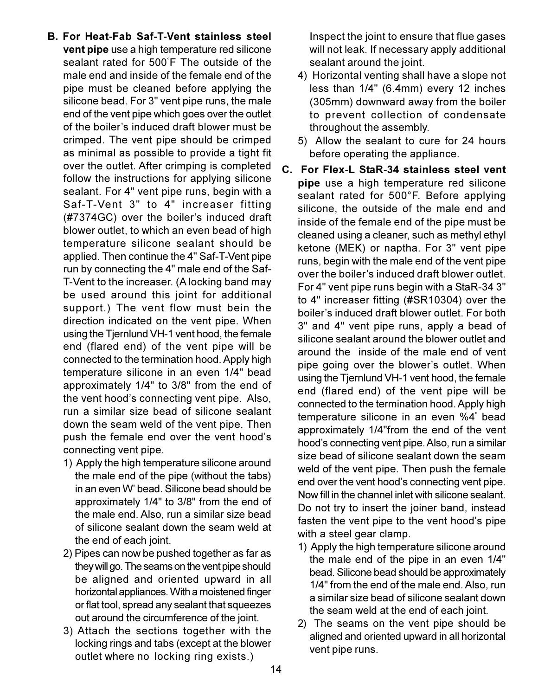- B. For Heat-Fab Saf-T-Vent stainless steel vent pipe use a high temperature red silicone sealant rated for 500°F The outside of the male end and inside of the female end of the pipe must be cleaned before applying the silicone bead. For 3" vent pipe runs, the male end of the vent pipe which goes over the outlet of the boiler's induced draft blower must be crimped. The vent pipe should be crimped as minimal as possible to provide a tight fit over the outlet. After crimping is completed follow the instructions for applying silicone sealant. For 4" vent pipe runs, begin with a Saf-T-Vent 3" to 4" increaser fitting (#7374GC) over the boiler's induced draft blower outlet, to which an even bead of high temperature silicone sealant should be applied. Then continue the 4" Saf-T-Vent pipe run by connecting the 4" male end of the Saf-T-Vent to the increaser. (A locking band may be used around this joint for additional support.) The vent flow must bein the direction indicated on the vent pipe. When using the Tjernlund VH-1 vent hood, the female end (flared end) of the vent pipe will be connected to the termination hood. Apply high temperature silicone in an even 1/4" bead approximately 1/4" to 3/8" from the end of the vent hood's connecting vent pipe. Also, run a similar size bead of silicone sealant down the seam weld of the vent pipe. Then push the female end over the vent hood's connecting vent pipe.
	- 1) Apply the high temperature silicone around the male end of the pipe (without the tabs) in an even W' bead. Silicone bead should be approximately 1/4" to 3/8" from the end of the male end. Also, run a similar size bead of silicone sealant down the seam weld at the end of each joint.
	- 2) Pipes can now be pushed together as far as they will go. The seams on the vent pipe should be aligned and oriented upward in all horizontal appliances. With a moistened finger or flat tool, spread any sealant that squeezes out around the circumference of the joint.
	- 3) Attach the sections together with the locking rings and tabs (except at the blower outlet where no locking ring exists.)

Inspect the joint to ensure that flue gases will not leak. If necessary apply additional sealant around the joint.

- 4) Horizontal venting shall have a slope not less than 1/4" (6.4mm) every 12 inches (305mm) downward away from the boiler to prevent collection of condensate throughout the assembly.
- 5) Allow the sealant to cure for 24 hours before operating the appliance.
- C. For Flex-L StaR-34 stainless steel vent pipe use a high temperature red silicone sealant rated for 500°F. Before applying silicone, the outside of the male end and inside of the female end of the pipe must be cleaned using a cleaner, such as methyl ethyl ketone (MEK) or naptha. For 3" vent pipe runs, begin with the male end of the vent pipe over the boiler's induced draft blower outlet. For 4" vent pipe runs begin with a StaR-34 3" to 4" increaser fitting (#SR10304) over the boiler's induced draft blower outlet. For both 3" and 4" vent pipe runs, apply a bead of silicone sealant around the blower outlet and around the inside of the male end of vent pipe going over the blower's outlet. When using the Tjernlund VH-1 vent hood, the female end (flared end) of the vent pipe will be connected to the termination hood. Apply high temperature silicone in an even %4" bead approximately 1/4"from the end of the vent hood's connecting vent pipe. Also, run a similar size bead of silicone sealant down the seam weld of the vent pipe. Then push the female end over the vent hood's connecting vent pipe. Now fill in the channel inlet with silicone sealant. Do not try to insert the joiner band, instead fasten the vent pipe to the vent hood's pipe with a steel gear clamp.
	- 1) Apply the high temperature silicone around the male end of the pipe in an even 1/4" bead. Silicone bead should be approximately 1/4" from the end of the male end. Also, run a similar size bead of silicone sealant down the seam weld at the end of each joint.
	- 2) The seams on the vent pipe should be aligned and oriented upward in all horizontal vent pipe runs.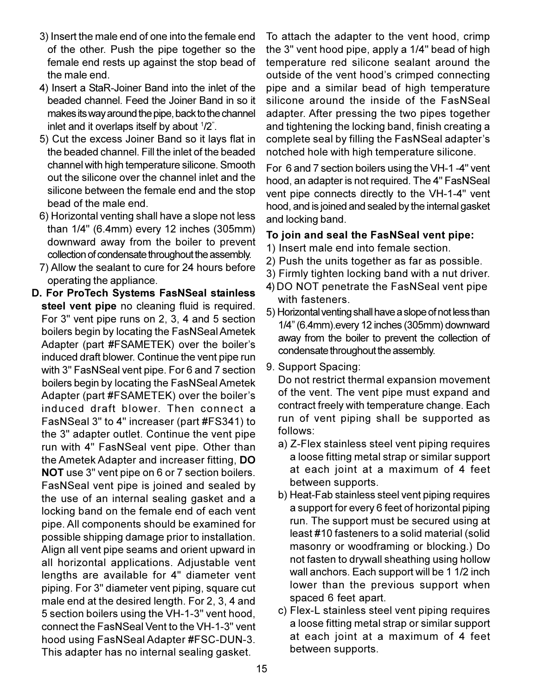- 3) Insert the male end of one into the female end of the other. Push the pipe together so the female end rests up against the stop bead of the male end.
- 4) Insert a StaR-Joiner Band into the inlet of the beaded channel. Feed the Joiner Band in so it makes its way around the pipe, back to the channel inlet and it overlaps itself by about 1/2".
- 5) Cut the excess Joiner Band so it lays flat in the beaded channel. Fill the inlet of the beaded channel with high temperature silicone. Smooth out the silicone over the channel inlet and the silicone between the female end and the stop bead of the male end.
- 6) Horizontal venting shall have a slope not less than 1/4" (6.4mm) every 12 inches (305mm) downward away from the boiler to prevent collection of condensate throughout the assembly.
- 7) Allow the sealant to cure for 24 hours before operating the appliance.
- D. For ProTech Systems FasNSeal stainless steel vent pipe no cleaning fluid is required. For 3" vent pipe runs on 2, 3, 4 and 5 section boilers begin by locating the FasNSeal Ametek Adapter (part #FSAMETEK) over the boiler's induced draft blower. Continue the vent pipe run with 3" FasNSeal vent pipe. For 6 and 7 section boilers begin by locating the FasNSeal Ametek Adapter (part #FSAMETEK) over the boiler's induced draft blower. Then connect a FasNSeal 3" to 4" increaser (part #FS341) to the 3" adapter outlet. Continue the vent pipe run with 4" FasNSeal vent pipe. Other than the Ametek Adapter and increaser fitting, DO NOT use 3" vent pipe on 6 or 7 section boilers. FasNSeal vent pipe is joined and sealed by the use of an internal sealing gasket and a locking band on the female end of each vent pipe. All components should be examined for possible shipping damage prior to installation. Align all vent pipe seams and orient upward in all horizontal applications. Adjustable vent lengths are available for 4" diameter vent piping. For 3" diameter vent piping, square cut male end at the desired length. For 2, 3, 4 and 5 section boilers using the VH-1-3" vent hood, connect the FasNSeal Vent to the VH-1-3" vent hood using FasNSeal Adapter #FSC-DUN-3. This adapter has no internal sealing gasket.

To attach the adapter to the vent hood, crimp the 3" vent hood pipe, apply a 1/4" bead of high temperature red silicone sealant around the outside of the vent hood's crimped connecting pipe and a similar bead of high temperature silicone around the inside of the FasNSeal adapter. After pressing the two pipes together and tightening the locking band, finish creating a complete seal by filling the FasNSeal adapter's notched hole with high temperature silicone.

For 6 and 7 section boilers using the VH-1-4" vent hood, an adapter is not required. The 4" FasNSeal vent pipe connects directly to the VH-1-4" vent hood, and is joined and sealed by the internal gasket and locking band.

#### To join and seal the FasNSeal vent pipe:

- 1) Insert male end into female section.
- 2) Push the units together as far as possible.
- 3) Firmly tighten locking band with a nut driver.
- 4) DO NOT penetrate the FasNSeal vent pipe with fasteners.
- 5) Horizontal venting shall have a slope of not less than 1/4" (6.4mm).every 12 inches (305mm) downward away from the boiler to prevent the collection of condensate throughout the assembly.
- 9. Support Spacing:

Do not restrict thermal expansion movement of the vent. The vent pipe must expand and contract freely with temperature change. Each run of vent piping shall be supported as follows:

- a) Z-Flex stainless steel vent piping requires a loose fitting metal strap or similar support at each joint at a maximum of 4 feet between supports.
- b) Heat-Fab stainless steel vent piping requires a support for every 6 feet of horizontal piping run. The support must be secured using at least #10 fasteners to a solid material (solid masonry or woodframing or blocking.) Do not fasten to drywall sheathing using hollow wall anchors. Each support will be 1 1/2 inch lower than the previous support when spaced 6 feet apart.
- c) Flex-L stainless steel vent piping requires a loose fitting metal strap or similar support at each joint at a maximum of 4 feet between supports.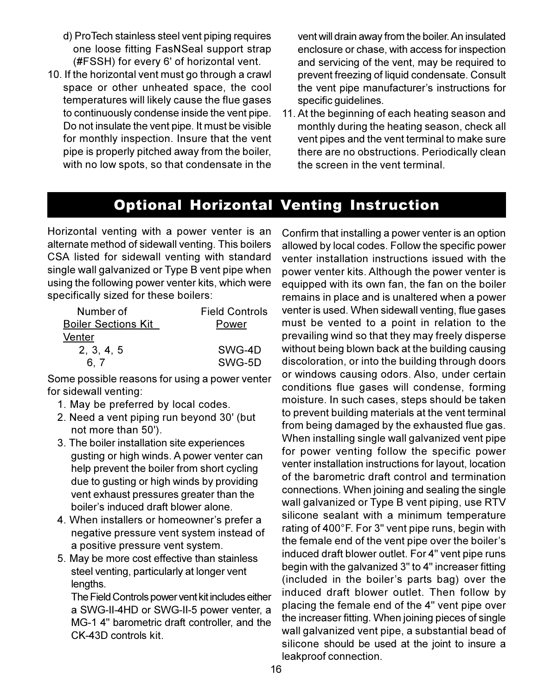- d) ProTech stainless steel vent piping requires one loose fitting FasNSeal support strap (#FSSH) for every 6' of horizontal vent.
- 10. If the horizontal vent must go through a crawl space or other unheated space, the cool temperatures will likely cause the flue gases to continuously condense inside the vent pipe. Do not insulate the vent pipe. It must be visible for monthly inspection. Insure that the vent pipe is properly pitched away from the boiler, with no low spots, so that condensate in the

vent will drain away from the boiler. An insulated enclosure or chase, with access for inspection and servicing of the vent, may be required to prevent freezing of liquid condensate. Consult the vent pipe manufacturer's instructions for specific quidelines.

11. At the beginning of each heating season and monthly during the heating season, check all vent pipes and the vent terminal to make sure there are no obstructions. Periodically clean the screen in the vent terminal.

## **Optional Horizontal Venting Instruction**

Horizontal venting with a power venter is an alternate method of sidewall venting. This boilers CSA listed for sidewall venting with standard single wall galvanized or Type B vent pipe when using the following power venter kits, which were specifically sized for these boilers:

| Number of                  | <b>Field Controls</b> |
|----------------------------|-----------------------|
| <b>Boiler Sections Kit</b> | Power                 |
| Venter                     |                       |
| 2, 3, 4, 5                 | SWG-4D                |
|                            | SWG-5D                |

Some possible reasons for using a power venter for sidewall venting:

- 1. May be preferred by local codes.
- 2. Need a vent piping run beyond 30' (but not more than 50').
- 3. The boiler installation site experiences gusting or high winds. A power venter can help prevent the boiler from short cycling due to gusting or high winds by providing vent exhaust pressures greater than the boiler's induced draft blower alone.
- 4. When installers or homeowner's prefer a negative pressure vent system instead of a positive pressure vent system.
- 5. May be more cost effective than stainless steel venting, particularly at longer vent lengths.

The Field Controls power vent kit includes either a SWG-II-4HD or SWG-II-5 power venter, a MG-1 4" barometric draft controller, and the CK-43D controls kit.

Confirm that installing a power venter is an option allowed by local codes. Follow the specific power venter installation instructions issued with the power venter kits. Although the power venter is equipped with its own fan, the fan on the boiler remains in place and is unaltered when a power venter is used. When sidewall venting, flue gases must be vented to a point in relation to the prevailing wind so that they may freely disperse without being blown back at the building causing discoloration, or into the building through doors or windows causing odors. Also, under certain conditions flue gases will condense, forming moisture. In such cases, steps should be taken to prevent building materials at the vent terminal from being damaged by the exhausted flue gas. When installing single wall galvanized vent pipe for power venting follow the specific power venter installation instructions for layout, location of the barometric draft control and termination connections. When joining and sealing the single wall galvanized or Type B vent piping, use RTV silicone sealant with a minimum temperature rating of 400°F. For 3" vent pipe runs, begin with the female end of the vent pipe over the boiler's induced draft blower outlet. For 4" vent pipe runs begin with the galvanized 3" to 4" increaser fitting (included in the boiler's parts bag) over the induced draft blower outlet. Then follow by placing the female end of the 4" vent pipe over the increaser fitting. When joining pieces of single wall galvanized vent pipe, a substantial bead of silicone should be used at the joint to insure a leakproof connection.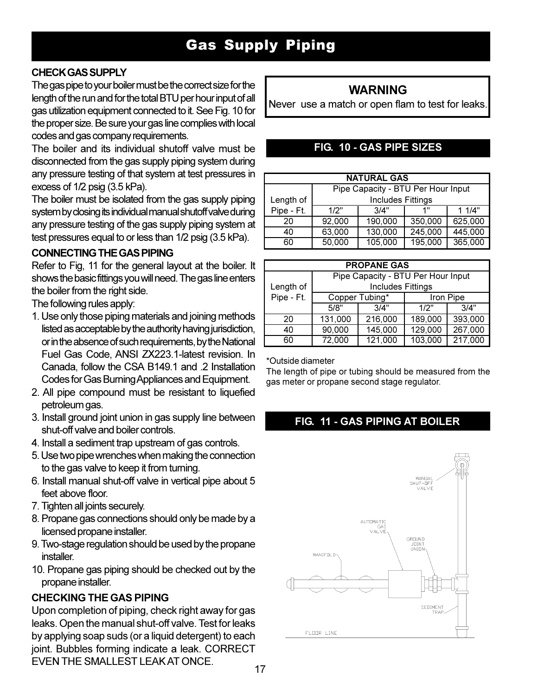#### **CHECK GAS SUPPLY**

The gas pipe to your boiler must be the correct size for the length of the run and for the total BTU per hour input of all gas utilization equipment connected to it. See Fig. 10 for the proper size. Be sure your gas line complies with local codes and gas company requirements.

The boiler and its individual shutoff valve must be disconnected from the gas supply piping system during any pressure testing of that system at test pressures in excess of  $1/2$  psig  $(3.5 \text{ kPa})$ .

The boiler must be isolated from the gas supply piping system by closing its individual manual shutoff valve during any pressure testing of the gas supply piping system at test pressures equal to or less than 1/2 psig (3.5 kPa).

#### **CONNECTING THE GAS PIPING**

Refer to Fig, 11 for the general layout at the boiler. It shows the basic fittings you will need. The gas line enters the boiler from the right side.

The following rules apply:

- 1. Use only those piping materials and joining methods listed as acceptable by the authority having jurisdiction, or in the absence of such requirements, by the National Fuel Gas Code, ANSI ZX223.1-latest revision. In Canada, follow the CSA B149.1 and .2 Installation Codes for Gas Burning Appliances and Equipment.
- 2. All pipe compound must be resistant to liquefied petroleum gas.
- 3. Install ground joint union in gas supply line between shut-off valve and boiler controls.
- 4. Install a sediment trap upstream of gas controls.
- 5. Use two pipe wrenches when making the connection to the gas valve to keep it from turning.
- 6. Install manual shut-off valve in vertical pipe about 5 feet above floor.
- 7. Tighten all joints securely.
- 8. Propane gas connections should only be made by a licensed propane installer.
- 9. Two-stage regulation should be used by the propane *installer*
- 10. Propane gas piping should be checked out by the propane installer.

#### **CHECKING THE GAS PIPING**

Upon completion of piping, check right away for gas leaks. Open the manual shut-off valve. Test for leaks by applying soap suds (or a liquid detergent) to each joint. Bubbles forming indicate a leak. CORRECT FVEN THE SMALLEST LEAK AT ONCE

### **WARNING**

Never use a match or open flam to test for leaks.

#### FIG. 10 - GAS PIPE SIZES

|            | <b>NATURAL GAS</b>                 |                          |         |         |  |
|------------|------------------------------------|--------------------------|---------|---------|--|
|            | Pipe Capacity - BTU Per Hour Input |                          |         |         |  |
| Length of  |                                    | <b>Includes Fittings</b> |         |         |  |
| Pipe - Ft. | 1/2"                               | 3/4"                     | 1"      | 11/4"   |  |
| 20         | 92,000                             | 190,000                  | 350,000 | 625,000 |  |
| 40         | 63,000                             | 130,000                  | 245,000 | 445,000 |  |
| 60         | 50,000                             | 105,000                  | 195,000 | 365,000 |  |

| <b>PROPANE GAS</b> |                                    |         |           |         |  |
|--------------------|------------------------------------|---------|-----------|---------|--|
|                    | Pipe Capacity - BTU Per Hour Input |         |           |         |  |
| Length of          | <b>Includes Fittings</b>           |         |           |         |  |
| Pipe - Ft.         | Copper Tubing*                     |         | Iron Pipe |         |  |
|                    | 5/8"                               | 3/4"    | 1/2"      | 3/4"    |  |
| 20                 | 131,000                            | 216,000 | 189,000   | 393,000 |  |
| 40                 | 90,000                             | 145,000 | 129,000   | 267,000 |  |
| 60                 | 72,000                             | 121,000 | 103,000   | 217,000 |  |

\*Outside diameter

The length of pipe or tubing should be measured from the gas meter or propane second stage regulator.

#### **FIG. 11 - GAS PIPING AT BOILER**

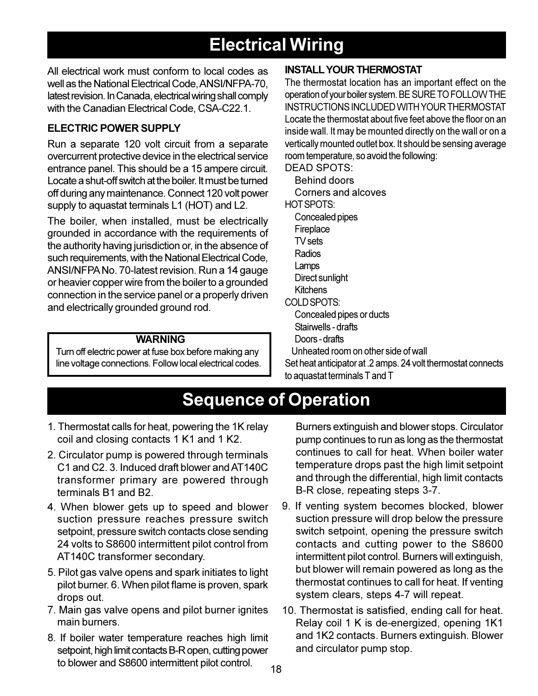## **Electrical Wiring**

All electrical work must conform to local codes as well as the National Electrical Code, ANSI/NFPA-70, latest revision. In Canada, electrical wiring shall comply with the Canadian Electrical Code, CSA-C22.1.

#### **ELECTRIC POWER SUPPI Y**

Run a separate 120 volt circuit from a separate overcurrent protective device in the electrical service entrance panel. This should be a 15 ampere circuit. Locate a shut-off switch at the boiler. It must be turned off during any maintenance. Connect 120 volt power supply to aquastat terminals L1 (HOT) and L2.

The boiler, when installed, must be electrically grounded in accordance with the requirements of the authority having jurisdiction or, in the absence of such requirements, with the National Electrical Code, ANSI/NFPA No. 70-latest revision. Run a 14 gauge or heavier copper wire from the boiler to a grounded connection in the service panel or a properly driven and electrically grounded ground rod.

#### **WARNING**

Turn off electric power at fuse box before making any line voltage connections. Follow local electrical codes.

#### **INSTALL YOUR THERMOSTAT**

The thermostat location has an important effect on the operation of your boiler system. BE SURE TO FOLLOW THE **INSTRUCTIONS INCLUDED WITH YOUR THERMOSTAT** Locate the thermostat about five feet above the floor on an inside wall. It may be mounted directly on the wall or on a vertically mounted outlet box. It should be sensing average room temperature, so avoid the following:

**DEAD SPOTS:** 

**Behind doors** Corners and alcoves

HOT SPOTS:

- Concealed pipes
- Fireplace
- TV sets
- Radios
- Lamps
- Direct sunlight
- **Kitchens**
- COLD SPOTS:
	- Concealed pipes or ducts
	- Stairwells drafts
	- Doors-drafts

Unheated room on other side of wall

Set heat anticipator at .2 amps. 24 volt thermostat connects to aquastat terminals T and T

## **Sequence of Operation**

- 1. Thermostat calls for heat, powering the 1K relay coil and closing contacts 1 K1 and 1 K2.
- 2. Circulator pump is powered through terminals C1 and C2. 3. Induced draft blower and AT140C transformer primary are powered through terminals B1 and B2.
- 4. When blower gets up to speed and blower suction pressure reaches pressure switch setpoint, pressure switch contacts close sending 24 volts to S8600 intermittent pilot control from AT140C transformer secondary.
- 5. Pilot gas valve opens and spark initiates to light pilot burner. 6. When pilot flame is proven, spark drops out.
- 7. Main gas valve opens and pilot burner ignites main burners.
- 8. If boiler water temperature reaches high limit setpoint, high limit contacts B-R open, cutting power to blower and S8600 intermittent pilot control.

Burners extinguish and blower stops. Circulator pump continues to run as long as the thermostat continues to call for heat. When boiler water temperature drops past the high limit setpoint and through the differential, high limit contacts B-R close, repeating steps 3-7.

- 9. If venting system becomes blocked, blower suction pressure will drop below the pressure switch setpoint, opening the pressure switch contacts and cutting power to the S8600 intermittent pilot control. Burners will extinguish, but blower will remain powered as long as the thermostat continues to call for heat. If venting system clears, steps 4-7 will repeat.
- 10. Thermostat is satisfied, ending call for heat. Relay coil 1 K is de-energized, opening 1K1 and 1K2 contacts. Burners extinguish. Blower and circulator pump stop.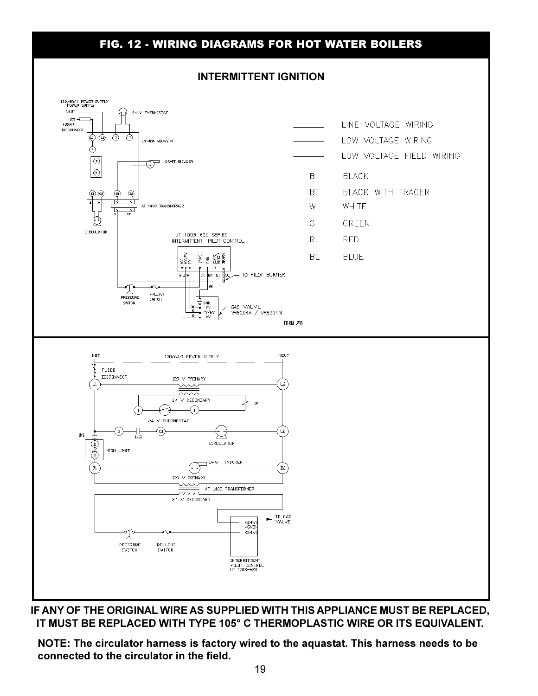#### **FIG. 12 - WIRING DIAGRAMS FOR HOT WATER BOILERS**

#### **INTERMITTENT IGNITION**



IF ANY OF THE ORIGINAL WIRE AS SUPPLIED WITH THIS APPLIANCE MUST BE REPLACED. IT MUST BE REPLACED WITH TYPE 105° C THERMOPLASTIC WIRE OR ITS EQUIVALENT.

NOTE: The circulator harness is factory wired to the aquastat. This harness needs to be connected to the circulator in the field.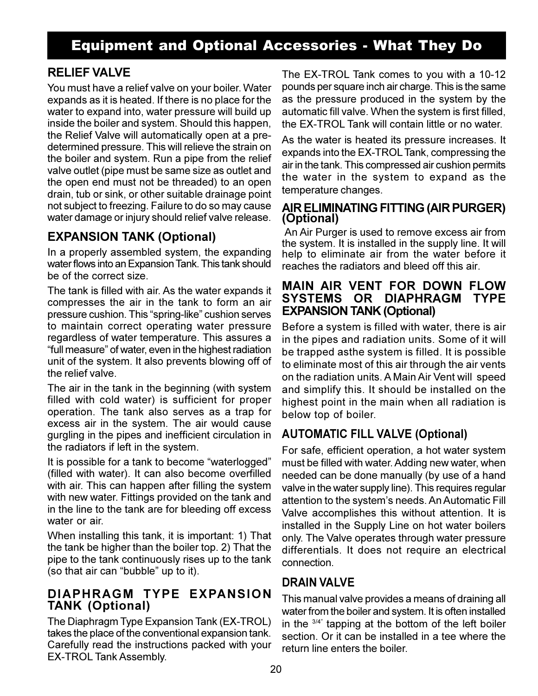## **Equipment and Optional Accessories - What They Do**

#### **RELIEF VALVE**

You must have a relief valve on your boiler. Water expands as it is heated. If there is no place for the water to expand into, water pressure will build up inside the boiler and system. Should this happen, the Relief Valve will automatically open at a predetermined pressure. This will relieve the strain on the boiler and system. Run a pipe from the relief valve outlet (pipe must be same size as outlet and the open end must not be threaded) to an open drain, tub or sink, or other suitable drainage point not subject to freezing. Failure to do so may cause water damage or injury should relief valve release.

#### **EXPANSION TANK (Optional)**

In a properly assembled system, the expanding water flows into an Expansion Tank. This tank should be of the correct size.

The tank is filled with air. As the water expands it compresses the air in the tank to form an air pressure cushion. This "spring-like" cushion serves to maintain correct operating water pressure regardless of water temperature. This assures a "full measure" of water, even in the highest radiation unit of the system. It also prevents blowing off of the relief valve.

The air in the tank in the beginning (with system filled with cold water) is sufficient for proper operation. The tank also serves as a trap for excess air in the system. The air would cause gurgling in the pipes and inefficient circulation in the radiators if left in the system.

It is possible for a tank to become "waterlogged" (filled with water). It can also become overfilled with air. This can happen after filling the system with new water. Fittings provided on the tank and in the line to the tank are for bleeding off excess water or air.

When installing this tank, it is important: 1) That the tank be higher than the boiler top. 2) That the pipe to the tank continuously rises up to the tank (so that air can "bubble" up to it).

#### DIAPHRAGM TYPE EXPANSION **TANK (Optional)**

The Diaphragm Type Expansion Tank (EX-TROL) takes the place of the conventional expansion tank. Carefully read the instructions packed with your **EX-TROL Tank Assembly.** 

The EX-TROL Tank comes to you with a 10-12 pounds per square inch air charge. This is the same as the pressure produced in the system by the automatic fill valve. When the system is first filled. the EX-TROL Tank will contain little or no water.

As the water is heated its pressure increases. It expands into the EX-TROL Tank, compressing the air in the tank. This compressed air cushion permits the water in the system to expand as the temperature changes.

#### AIR ELIMINATING FITTING (AIR PURGER) (Optional)

An Air Purger is used to remove excess air from the system. It is installed in the supply line. It will help to eliminate air from the water before it reaches the radiators and bleed off this air.

#### **MAIN AIR VENT FOR DOWN FLOW** SYSTEMS OR DIAPHRAGM TYPE **EXPANSION TANK (Optional)**

Before a system is filled with water, there is air in the pipes and radiation units. Some of it will be trapped as the system is filled. It is possible to eliminate most of this air through the air vents on the radiation units. A Main Air Vent will speed and simplify this. It should be installed on the highest point in the main when all radiation is below top of boiler.

### **AUTOMATIC FILL VALVE (Optional)**

For safe, efficient operation, a hot water system must be filled with water. Adding new water, when needed can be done manually (by use of a hand valve in the water supply line). This requires regular attention to the system's needs. An Automatic Fill Valve accomplishes this without attention. It is installed in the Supply Line on hot water boilers only. The Valve operates through water pressure differentials. It does not require an electrical connection

#### **DRAIN VAI VF**

This manual valve provides a means of draining all water from the boiler and system. It is often installed in the  $3/4$ <sup>"</sup> tapping at the bottom of the left boiler section. Or it can be installed in a tee where the return line enters the boiler.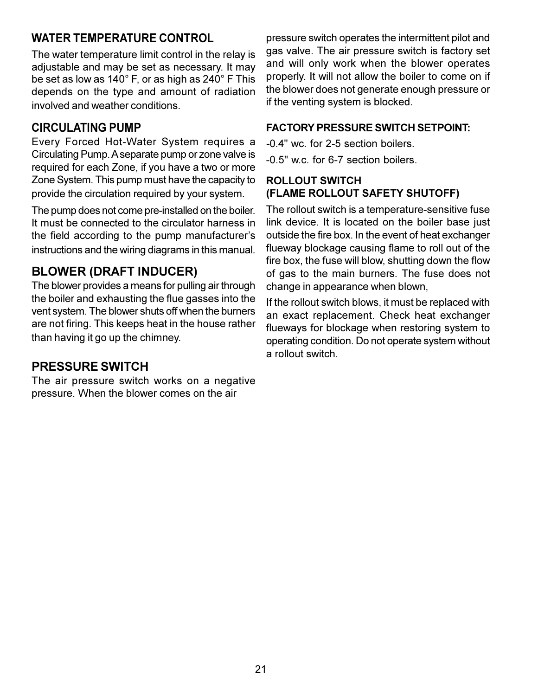#### **WATER TEMPERATURE CONTROL**

The water temperature limit control in the relay is adjustable and may be set as necessary. It may be set as low as 140° F, or as high as 240° F This depends on the type and amount of radiation involved and weather conditions.

#### **CIRCUI ATING PUMP**

Every Forced Hot-Water System requires a Circulating Pump. A separate pump or zone valve is required for each Zone, if you have a two or more Zone System. This pump must have the capacity to provide the circulation required by your system.

The pump does not come pre-installed on the boiler. It must be connected to the circulator harness in the field according to the pump manufacturer's instructions and the wiring diagrams in this manual.

#### **BLOWER (DRAFT INDUCER)**

The blower provides a means for pulling air through the boiler and exhausting the flue gasses into the vent system. The blower shuts off when the burners are not firing. This keeps heat in the house rather than having it go up the chimney.

### **PRESSURE SWITCH**

The air pressure switch works on a negative pressure. When the blower comes on the air

pressure switch operates the intermittent pilot and gas valve. The air pressure switch is factory set and will only work when the blower operates properly. It will not allow the boiler to come on if the blower does not generate enough pressure or if the venting system is blocked.

#### **FACTORY PRESSURE SWITCH SETPOINT:**

-0.4" wc. for 2-5 section boilers.

-0.5" w.c. for 6-7 section boilers.

#### **ROLLOUT SWITCH** (FLAME ROLLOUT SAFETY SHUTOFF)

The rollout switch is a temperature-sensitive fuse link device. It is located on the boiler base just outside the fire box. In the event of heat exchanger flueway blockage causing flame to roll out of the fire box, the fuse will blow, shutting down the flow of gas to the main burners. The fuse does not change in appearance when blown,

If the rollout switch blows, it must be replaced with an exact replacement. Check heat exchanger flueways for blockage when restoring system to operating condition. Do not operate system without a rollout switch.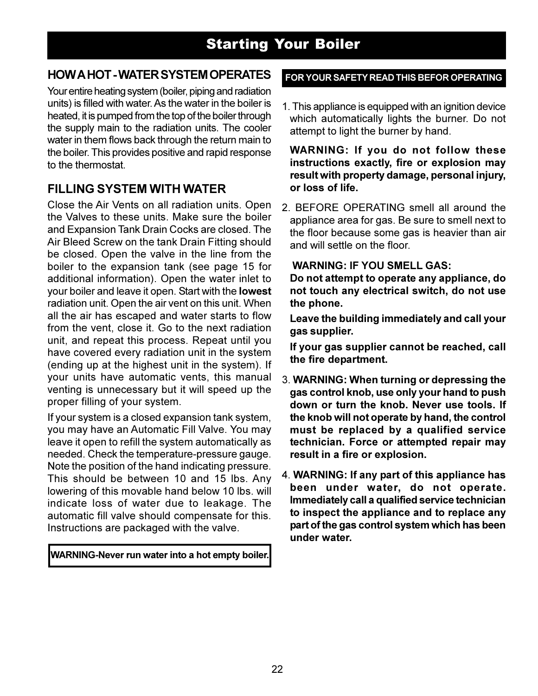## **Starting Your Boiler**

#### **HOW A HOT-WATER SYSTEM OPERATES**

Your entire heating system (boiler, piping and radiation units) is filled with water. As the water in the boiler is heated, it is pumped from the top of the boiler through the supply main to the radiation units. The cooler water in them flows back through the return main to the boiler. This provides positive and rapid response to the thermostat.

#### **FILLING SYSTEM WITH WATER**

Close the Air Vents on all radiation units. Open the Valves to these units. Make sure the boiler and Expansion Tank Drain Cocks are closed. The Air Bleed Screw on the tank Drain Fitting should be closed. Open the valve in the line from the boiler to the expansion tank (see page 15 for additional information). Open the water inlet to your boiler and leave it open. Start with the lowest radiation unit. Open the air vent on this unit. When all the air has escaped and water starts to flow from the vent, close it. Go to the next radiation unit, and repeat this process. Repeat until you have covered every radiation unit in the system (ending up at the highest unit in the system). If your units have automatic vents, this manual venting is unnecessary but it will speed up the proper filling of your system.

If your system is a closed expansion tank system, you may have an Automatic Fill Valve. You may leave it open to refill the system automatically as needed. Check the temperature-pressure gauge. Note the position of the hand indicating pressure. This should be between 10 and 15 lbs. Any lowering of this movable hand below 10 lbs. will indicate loss of water due to leakage. The automatic fill valve should compensate for this. Instructions are packaged with the valve.

WARNING-Never run water into a hot empty boiler.

#### FOR YOUR SAFETY READ THIS BEFOR OPERATING

1. This appliance is equipped with an ignition device which automatically lights the burner. Do not attempt to light the burner by hand.

**WARNING: If you do not follow these** instructions exactly, fire or explosion may result with property damage, personal injury. or loss of life.

2. BEFORE OPERATING smell all around the appliance area for gas. Be sure to smell next to the floor because some gas is heavier than air and will settle on the floor.

#### **WARNING: IF YOU SMELL GAS:**

Do not attempt to operate any appliance, do not touch any electrical switch, do not use the phone.

Leave the building immediately and call your gas supplier.

If your gas supplier cannot be reached, call the fire department.

- 3. WARNING: When turning or depressing the gas control knob, use only your hand to push down or turn the knob. Never use tools. If the knob will not operate by hand, the control must be replaced by a qualified service technician. Force or attempted repair may result in a fire or explosion.
- 4. WARNING: If any part of this appliance has been under water, do not operate. Immediately call a qualified service technician to inspect the appliance and to replace any part of the gas control system which has been under water.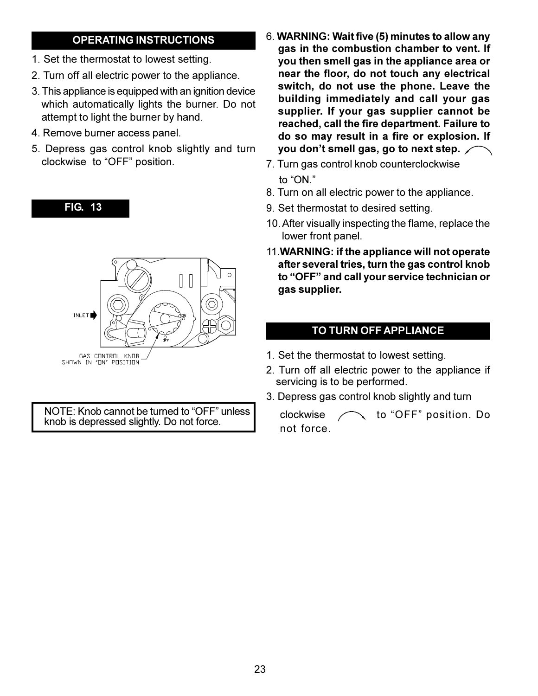#### **OPERATING INSTRUCTIONS**

- 1. Set the thermostat to lowest setting.
- 2. Turn off all electric power to the appliance.
- 3. This appliance is equipped with an ignition device which automatically lights the burner. Do not attempt to light the burner by hand.
- 4. Remove burner access panel.

**FIG. 13** 

5. Depress gas control knob slightly and turn clockwise to "OFF" position.



NOTE: Knob cannot be turned to "OFF" unless knob is depressed slightly. Do not force.

- 6. WARNING: Wait five (5) minutes to allow any gas in the combustion chamber to vent. If you then smell gas in the appliance area or near the floor, do not touch any electrical switch, do not use the phone. Leave the building immediately and call your gas supplier. If your gas supplier cannot be reached, call the fire department. Failure to do so may result in a fire or explosion. If you don't smell gas, go to next step.
- 7. Turn gas control knob counterclockwise to "ON."
- 8. Turn on all electric power to the appliance.
- 9. Set thermostat to desired setting.
- 10. After visually inspecting the flame, replace the lower front panel.
- 11. WARNING: if the appliance will not operate after several tries, turn the gas control knob to "OFF" and call your service technician or gas supplier.

#### TO TURN OFF APPLIANCE

- 1. Set the thermostat to lowest setting.
- 2. Turn off all electric power to the appliance if servicing is to be performed.
- 3. Depress gas control knob slightly and turn

clockwise  $\curvearrowleft$  to "OFF" position. Do not force.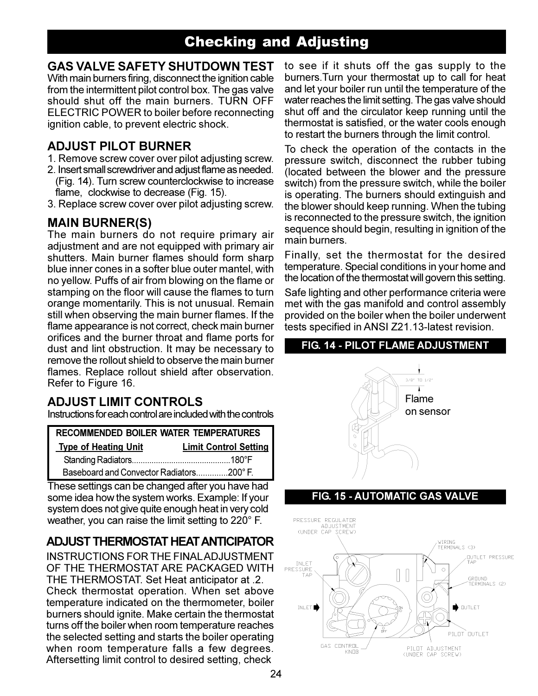## **Checking and Adjusting**

#### **GAS VALVE SAFETY SHUTDOWN TEST**

With main burners firing, disconnect the ignition cable from the intermittent pilot control box. The gas valve should shut off the main burners. TURN OFF ELECTRIC POWER to boiler before reconnecting ignition cable, to prevent electric shock.

#### **ADJUST PILOT BURNER**

- 1. Remove screw cover over pilot adjusting screw.
- 2. Insert small screwdriver and adjust flame as needed. (Fig. 14). Turn screw counterclockwise to increase flame, clockwise to decrease (Fig. 15).
- 3. Replace screw cover over pilot adjusting screw.

#### **MAIN BURNER(S)**

The main burners do not require primary air adjustment and are not equipped with primary air shutters. Main burner flames should form sharp blue inner cones in a softer blue outer mantel, with no yellow. Puffs of air from blowing on the flame or stamping on the floor will cause the flames to turn orange momentarily. This is not unusual. Remain still when observing the main burner flames. If the flame appearance is not correct, check main burner orifices and the burner throat and flame ports for dust and lint obstruction. It may be necessary to remove the rollout shield to observe the main burner flames. Replace rollout shield after observation. Refer to Figure 16.

#### **ADJUST LIMIT CONTROLS**

Instructions for each control are included with the controls

| <b>RECOMMENDED BOILER WATER TEMPERATURES</b> |                              |  |
|----------------------------------------------|------------------------------|--|
| <b>Type of Heating Unit</b>                  | <b>Limit Control Setting</b> |  |
|                                              |                              |  |
| Baseboard and Convector Radiators200° F.     |                              |  |

These settings can be changed after you have had some idea how the system works. Example: If your system does not give quite enough heat in very cold weather, you can raise the limit setting to 220° F.

#### **ADJUST THERMOSTAT HEAT ANTICIPATOR**

**INSTRUCTIONS FOR THE FINAL ADJUSTMENT** OF THE THERMOSTAT ARE PACKAGED WITH THE THERMOSTAT. Set Heat anticipator at .2. Check thermostat operation. When set above temperature indicated on the thermometer, boiler burners should ignite. Make certain the thermostat turns off the boiler when room temperature reaches the selected setting and starts the boiler operating when room temperature falls a few degrees. Aftersetting limit control to desired setting, check

to see if it shuts off the gas supply to the burners. Turn your thermostat up to call for heat and let your boiler run until the temperature of the water reaches the limit setting. The gas valve should shut off and the circulator keep running until the thermostat is satisfied, or the water cools enough to restart the burners through the limit control.

To check the operation of the contacts in the pressure switch, disconnect the rubber tubing (located between the blower and the pressure switch) from the pressure switch, while the boiler is operating. The burners should extinguish and the blower should keep running. When the tubing is reconnected to the pressure switch, the ignition sequence should begin, resulting in ignition of the main burners.

Finally, set the thermostat for the desired temperature. Special conditions in your home and the location of the thermostat will govern this setting.

Safe lighting and other performance criteria were met with the gas manifold and control assembly provided on the boiler when the boiler underwent tests specified in ANSI Z21.13-latest revision.

#### FIG. 14 - PILOT FLAME ADJUSTMENT



#### **FIG. 15 - AUTOMATIC GAS VALVE**

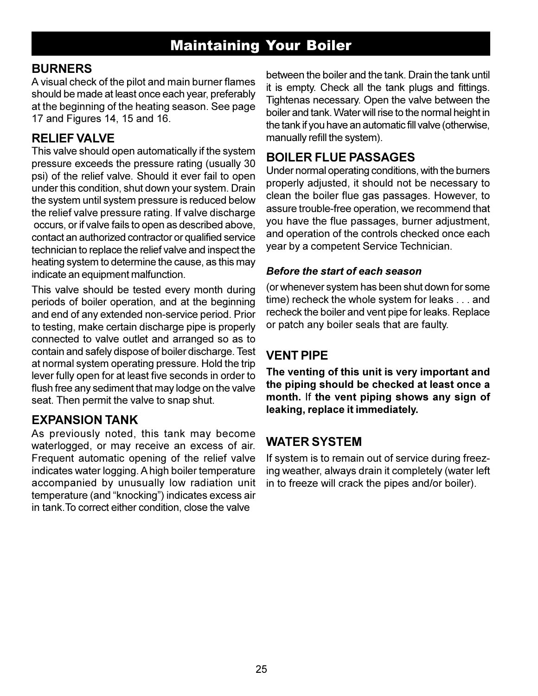## **Maintaining Your Boiler**

#### **BURNERS**

A visual check of the pilot and main burner flames should be made at least once each year, preferably at the beginning of the heating season. See page 17 and Figures 14, 15 and 16.

#### **RELIEF VALVE**

This valve should open automatically if the system pressure exceeds the pressure rating (usually 30) psi) of the relief valve. Should it ever fail to open under this condition, shut down your system. Drain the system until system pressure is reduced below the relief valve pressure rating. If valve discharge occurs, or if valve fails to open as described above, contact an authorized contractor or qualified service technician to replace the relief valve and inspect the heating system to determine the cause, as this may indicate an equipment malfunction.

This valve should be tested every month during periods of boiler operation, and at the beginning and end of any extended non-service period. Prior to testing, make certain discharge pipe is properly connected to valve outlet and arranged so as to contain and safely dispose of boiler discharge. Test at normal system operating pressure. Hold the trip lever fully open for at least five seconds in order to flush free any sediment that may lodge on the valve seat. Then permit the valve to snap shut.

#### **EXPANSION TANK**

As previously noted, this tank may become waterlogged, or may receive an excess of air. Frequent automatic opening of the relief valve indicates water logging. A high boiler temperature accompanied by unusually low radiation unit temperature (and "knocking") indicates excess air in tank. To correct either condition, close the valve

between the boiler and the tank. Drain the tank until it is empty. Check all the tank plugs and fittings. Tightenas necessary. Open the valve between the boiler and tank. Water will rise to the normal height in the tank if you have an automatic fill valve (otherwise, manually refill the system).

#### **BOILER FLUE PASSAGES**

Under normal operating conditions, with the burners properly adjusted, it should not be necessary to clean the boiler flue gas passages. However, to assure trouble-free operation, we recommend that you have the flue passages, burner adjustment, and operation of the controls checked once each year by a competent Service Technician.

#### Before the start of each season

(or whenever system has been shut down for some time) recheck the whole system for leaks . . . and recheck the boiler and vent pipe for leaks. Replace or patch any boiler seals that are faulty.

### **VENT PIPE**

The venting of this unit is very important and the piping should be checked at least once a month. If the vent piping shows any sign of leaking, replace it immediately.

#### **WATER SYSTEM**

If system is to remain out of service during freezing weather, always drain it completely (water left in to freeze will crack the pipes and/or boiler).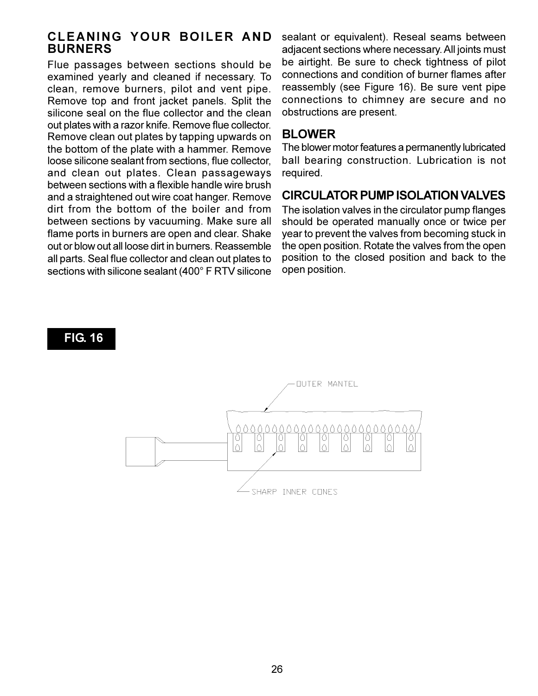#### CLEANING YOUR BOILER AND **BURNERS**

Flue passages between sections should be examined yearly and cleaned if necessary. To clean, remove burners, pilot and vent pipe. Remove top and front jacket panels. Split the silicone seal on the flue collector and the clean out plates with a razor knife. Remove flue collector. Remove clean out plates by tapping upwards on the bottom of the plate with a hammer. Remove loose silicone sealant from sections, flue collector, and clean out plates. Clean passageways between sections with a flexible handle wire brush and a straightened out wire coat hanger. Remove dirt from the bottom of the boiler and from between sections by vacuuming. Make sure all flame ports in burners are open and clear. Shake out or blow out all loose dirt in burners. Reassemble all parts. Seal flue collector and clean out plates to sections with silicone sealant (400° F RTV silicone

**FIG. 16** 

sealant or equivalent). Reseal seams between adjacent sections where necessary. All joints must be airtight. Be sure to check tightness of pilot connections and condition of burner flames after reassembly (see Figure 16). Be sure vent pipe connections to chimney are secure and no obstructions are present.

#### **BLOWER**

The blower motor features a permanently lubricated ball bearing construction. Lubrication is not required.

#### **CIRCULATOR PUMP ISOLATION VALVES**

The isolation valves in the circulator pump flanges should be operated manually once or twice per year to prevent the valves from becoming stuck in the open position. Rotate the valves from the open position to the closed position and back to the open position.

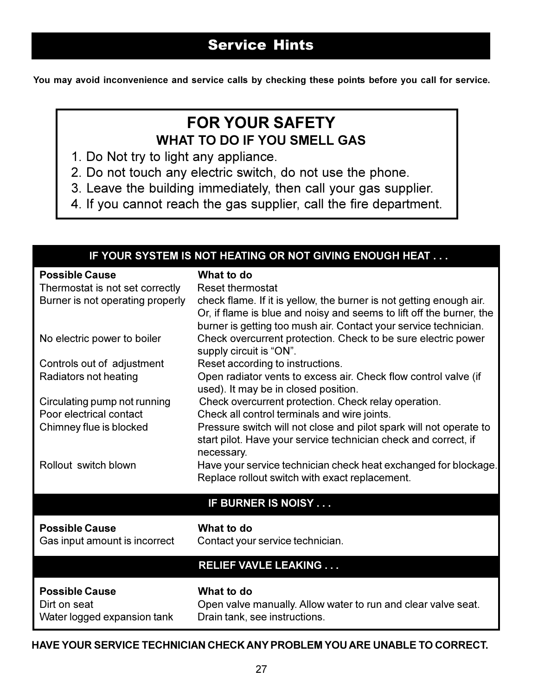You may avoid inconvenience and service calls by checking these points before you call for service.

## **FOR YOUR SAFETY WHAT TO DO IF YOU SMELL GAS**

- 1. Do Not try to light any appliance.
- 2. Do not touch any electric switch, do not use the phone.
- 3. Leave the building immediately, then call your gas supplier.
- 4. If you cannot reach the gas supplier, call the fire department.

| IF YOUR SYSTEM IS NOT HEATING OR NOT GIVING ENOUGH HEAT                                      |                                                                                                                                                                                                                                                          |  |  |  |  |  |  |
|----------------------------------------------------------------------------------------------|----------------------------------------------------------------------------------------------------------------------------------------------------------------------------------------------------------------------------------------------------------|--|--|--|--|--|--|
| <b>Possible Cause</b><br>Thermostat is not set correctly<br>Burner is not operating properly | What to do<br><b>Reset thermostat</b><br>check flame. If it is yellow, the burner is not getting enough air.<br>Or, if flame is blue and noisy and seems to lift off the burner, the<br>burner is getting too mush air. Contact your service technician. |  |  |  |  |  |  |
| No electric power to boiler                                                                  | Check overcurrent protection. Check to be sure electric power<br>supply circuit is "ON".                                                                                                                                                                 |  |  |  |  |  |  |
| Controls out of adjustment                                                                   | Reset according to instructions.                                                                                                                                                                                                                         |  |  |  |  |  |  |
| Radiators not heating                                                                        | Open radiator vents to excess air. Check flow control valve (if<br>used). It may be in closed position.                                                                                                                                                  |  |  |  |  |  |  |
| Circulating pump not running                                                                 | Check overcurrent protection. Check relay operation.                                                                                                                                                                                                     |  |  |  |  |  |  |
| Poor electrical contact                                                                      | Check all control terminals and wire joints.                                                                                                                                                                                                             |  |  |  |  |  |  |
| Chimney flue is blocked                                                                      | Pressure switch will not close and pilot spark will not operate to<br>start pilot. Have your service technician check and correct, if<br>necessary.                                                                                                      |  |  |  |  |  |  |
| Rollout switch blown                                                                         | Have your service technician check heat exchanged for blockage.<br>Replace rollout switch with exact replacement.                                                                                                                                        |  |  |  |  |  |  |
|                                                                                              | IF BURNER IS NOISY                                                                                                                                                                                                                                       |  |  |  |  |  |  |
| <b>Possible Cause</b><br>Gas input amount is incorrect                                       | What to do<br>Contact your service technician.                                                                                                                                                                                                           |  |  |  |  |  |  |
|                                                                                              | <b>RELIEF VAVLE LEAKING</b>                                                                                                                                                                                                                              |  |  |  |  |  |  |
| <b>Possible Cause</b><br>Dirt on seat<br>Water logged expansion tank                         | What to do<br>Open valve manually. Allow water to run and clear valve seat.<br>Drain tank, see instructions.                                                                                                                                             |  |  |  |  |  |  |

#### HAVE YOUR SERVICE TECHNICIAN CHECK ANY PROBLEM YOU ARE UNABLE TO CORRECT.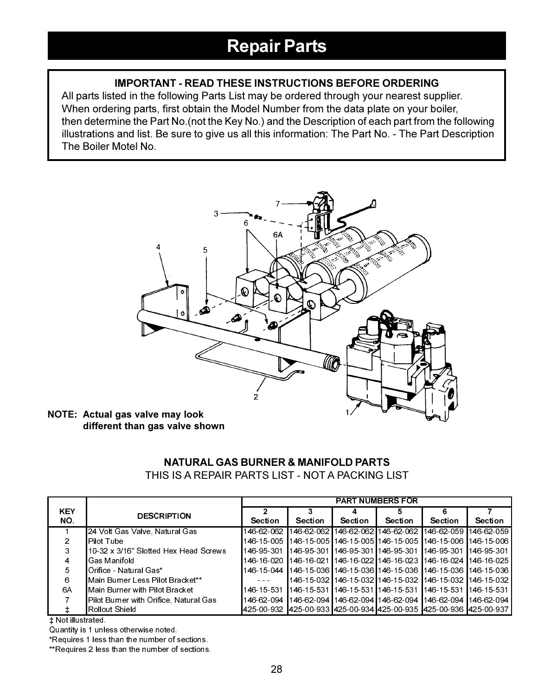#### **IMPORTANT - READ THESE INSTRUCTIONS BEFORE ORDERING**

All parts listed in the following Parts List may be ordered through your nearest supplier. When ordering parts, first obtain the Model Number from the data plate on your boiler, then determine the Part No. (not the Key No.) and the Description of each part from the following illustrations and list. Be sure to give us all this information: The Part No. - The Part Description The Boiler Motel No.



NOTE: Actual gas valve may look different than gas valve shown

| NATURAL GAS BURNER & MANIFOLD PARTS              |
|--------------------------------------------------|
| THIS IS A REPAIR PARTS LIST - NOT A PACKING LIST |

|            |                                        | <b>PART NUMBERS FOR</b> |                |                |                |                                                                             |                |
|------------|----------------------------------------|-------------------------|----------------|----------------|----------------|-----------------------------------------------------------------------------|----------------|
| <b>KEY</b> | <b>DESCRIPTION</b>                     |                         |                |                | 5              | Б                                                                           |                |
| NO.        |                                        | <b>Section</b>          | <b>Section</b> | <b>Section</b> | <b>Section</b> | <b>Section</b>                                                              | <b>Section</b> |
|            | 24 Volt Gas Valve, Natural Gas         | 146 62 062              |                |                |                | ▌146-62-062 ┃146-62-062 ┃146-62-062 ┃146-62-059 ┃146-62-059                 |                |
| 2          | Pilot Tube                             | 146-15-005              |                |                |                | 146-15-005 Ⅰ146-15-005 Ⅰ146-15-005 Ⅰ146-15-006 Ⅰ146-15-006                  |                |
| 3          | 10-32 x 3/16" Slotted Hex Head Screws  | 146 95 301              |                |                |                | l 146-95-301 l 146-95-301 l 146-95-301 l 146-95-301 l 146-95-301            |                |
| 4          | Gas Manifold                           | 146-16-020              |                |                |                | 146-16-021 146-16-022 146-16-023 146-16-024 146-16-025                      |                |
| 5          | Orifice - Natural Gas*                 |                         |                |                |                | 146-15-044   146-15-036   146-15-036   146-15-036   146-15-036   146-15-036 |                |
| 6          | Main Burner Less Pilot Bracket**       |                         |                |                |                | 146-15-032 146-15-032 146-15-032 146-15-032 146-15-032                      |                |
| 6A         | lMain Burner with Pilot Bracket .      |                         |                |                |                | 146-15-531   146-15-531   146-15-531   146-15-531   146-15-531   146-15-531 |                |
|            | Pilot Burner with Orifice, Natural Gas |                         |                |                |                | 146-62-094   146-62-094   146-62-094   146-62-094   146-62-094   146-62-094 |                |
|            | Rollout Shield                         |                         |                |                |                | 425-00-932 425-00-933 425-00-934 425-00-935 425-00-936 425-00-937           |                |

**‡ Not illustrated** 

Quantity is 1 unless otherwise noted.

\*Requires 1 less than the number of sections.

\*\*Requires 2 less than the number of sections.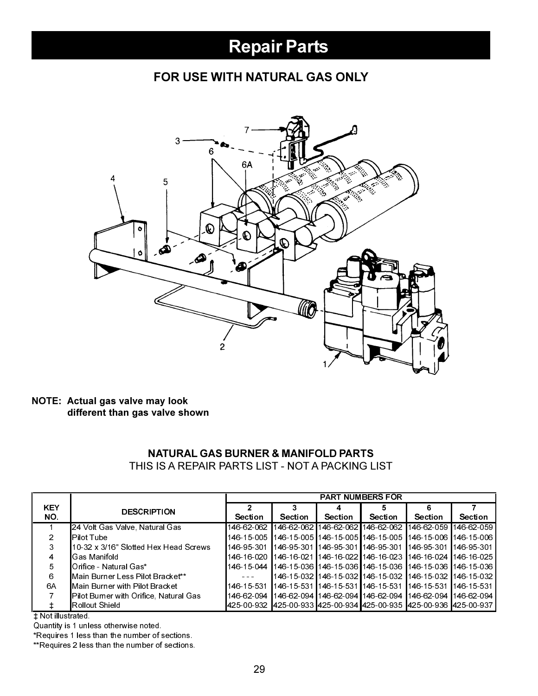### FOR USE WITH NATURAL GAS ONLY



#### NOTE: Actual gas valve may look different than gas valve shown

#### **NATURAL GAS BURNER & MANIFOLD PARTS** THIS IS A REPAIR PARTS LIST - NOT A PACKING LIST

|                   |                                        | <b>PART NUMBERS FOR</b> |                |         |                                             |                                                                |                |
|-------------------|----------------------------------------|-------------------------|----------------|---------|---------------------------------------------|----------------------------------------------------------------|----------------|
| <b>KEY</b><br>NO. | <b>DESCRIPTION</b>                     | <b>Section</b>          | <b>Section</b> | Section | 5<br><b>Section</b>                         | 6<br><b>Section</b>                                            | <b>Section</b> |
|                   | 24 Volt Gas Valve, Natural Gas         | 146-62-062              |                |         |                                             | 146-62-062 146-62-062 146-62-062 146-62-059 146-62-059         |                |
|                   | l Pilot Tube                           | 146-15-005              |                |         |                                             | 146-15-005 146-15-005 146-15-005 1146-15-006 1146-15-006 1     |                |
|                   | 110-32 x 3/16" Slotted Hex Head Screws | 146 95 301              |                |         | 146-95-301 146-95-301 146-95-301 146-95-301 |                                                                | 146-95-301     |
|                   | <b>Gas Manifold</b>                    | 146-16-020              |                |         |                                             | 146-16-021   146-16-022   146-16-023   146-16-024   146-16-025 |                |
| 5                 | ∎Orifice - Natural Gas*                | 146-15-044              |                |         |                                             | 146-15-036 146-15-036 146-15-036 1146-15-036 1146-15-036 1     |                |
| 6                 | Main Burner Less Pilot Bracket**       | $\sim$ 100 $\sim$       |                |         |                                             | 146-15-032 146-15-032 146-15-032 146-15-032 146-15-032         |                |
| 6A                | Main Burner with Pilot Bracket .       | 146-15-531              |                |         |                                             | 146-15-531 146-15-531 146-15-531 146-15-531 146-15-531         |                |
|                   | Pilot Burner with Orifice, Natural Gas | 146-62-094              |                |         |                                             | 146-62-094 146-62-094 146-62-094 146-62-094 146-62-094         |                |
|                   | Rollout Shield                         | <b>4</b> 25-00-932      |                |         |                                             | <b>425-00-933 425-00-934 425-00-935 425-00-936 425-00-937</b>  |                |

# Not illustrated.

Quantity is 1 unless otherwise noted.

\*Requires 1 less than the number of sections.

\*\*Requires 2 less than the number of sections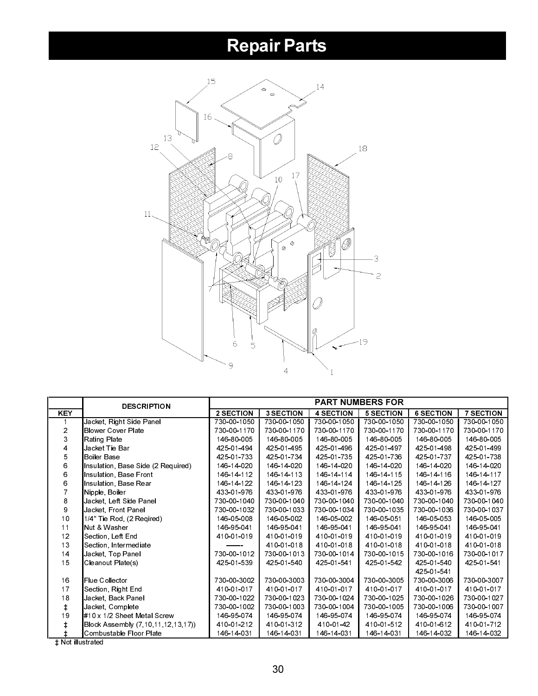

|                | <b>DESCRIPTION</b>                 | <b>PART NUMBERS FOR</b> |                  |                  |                  |                  |                  |  |  |
|----------------|------------------------------------|-------------------------|------------------|------------------|------------------|------------------|------------------|--|--|
| <b>KEY</b>     |                                    | 2 SECTION               | <b>3 SECTION</b> | <b>4 SECTION</b> | <b>5 SECTION</b> | <b>6 SECTION</b> | <b>7 SECTION</b> |  |  |
|                | Jacket, Right Side Panel           | 730-00-1050             | 730-00-1050      | 730-00-1050      | 730-00-1050      | 730-00-1050      | 730-00-1050      |  |  |
| $\overline{2}$ | <b>Blower Cover Plate</b>          | 730-00-1170             | 730 00 1170      | 730-00-1170      | 730-00-1170      | 730-00-1170      | 730-00-1170      |  |  |
| 3              | Rating Plate                       | 146-80-005              | 146-80-005       | 146-80-005       | 146-80-005       | 146-80-005       | 146-80-005       |  |  |
| 4              | Jacket Tie Bar                     | 425-01-494              | 425-01-495       | 425 01 496       | 425 01 497       | 425 01 498       | 425 01 499       |  |  |
| 5              | <b>Boiler Base</b>                 | 425 01 733              | 425 01 734       | 425 01 735       | 425 01 736       | 425 01 737       | 425 01 738       |  |  |
| 6              | Insulation, Base Side (2 Required) | 146-14-020              | 146-14-020       | 146-14-020       | 146-14-020       | 146-14-020       | 146-14-020       |  |  |
| 6              | Insulation, Base Front             | 146-14-112              | 146-14-113       | 146-14-114       | 146-14-115       | 146-14-116       | 146-14-117       |  |  |
| 6              | Insulation, Base Rear              | 146-14-122              | 146-14-123       | 146 14 124       | 146 14 125       | 146-14-126       | 146-14-127       |  |  |
|                | Nipple, Boiler                     | 433 01 976              | 433-01-976       | 433 01 976       | 433 01 976       | 433 01 976       | 433 01 976       |  |  |
| 8              | Jacket, Left Side Panel            | 730-00-1040             | 730-00-1040      | 730-00-1040      | 730-00-1040      | 730-00-1040      | 730-00-1040      |  |  |
| 9              | Jacket, Front Panel                | 730-00-1032             | 730 00 1033      | 730-00-1034      | 730-00-1035      | 730-00-1036      | 730-00-1037      |  |  |
| 10             | 1/4" Tie Rod. (2 Regired)          | 146-05-008              | 146-05-002       | 146-05-002       | 146-05-051       | 146-05-053       | 146-05-005       |  |  |
| 11             | Nut & Washer                       | 146 95 041              | 146 95 041       | 146-95-041       | 146 95 041       | 146-95-041       | 146-95-041       |  |  |
| 12             | Section, Left End                  | 410-01-019              | 410-01-019       | 410-01-019       | 410-01-019       | 410-01-019       | 410-01-019       |  |  |
| 13             | Section, Intermediate              |                         | 410-01-018       | 410-01-018       | 410-01-018       | 410 01 018       | 410 01 018       |  |  |
| 14             | Jacket Top Panel                   | 730-00-1012             | 730 00 1013      | 730-00-1014      | 730-00-1015      | 730-00-1016      | 730-00-1017      |  |  |
| 15             | Cleanout Plate(s)                  | 425 01 539              | 425 01 540       | 425 01 541       | 425 01 542       | 425-01-540       | 425 01 541       |  |  |
|                |                                    |                         |                  |                  |                  | 425 01 541       |                  |  |  |
| 16             | Flue Collector                     | 730-00-3002             | 730 00 3003      | 730 00 3004      | 730-00-3005      | 730-00-3006      | 730-00-3007      |  |  |
| 17             | Section, Right End                 | 410-01-017              | 410-01-017       | 410-01-017       | 410-01-017       | 410 01 017       | 410 01 017       |  |  |
| 18             | Jacket, Back Panel                 | 730-00-1022             | 730-00-1023      | 730-00-1024      | 730-00-1025      | 730-00-1026      | 730-00-1027      |  |  |
| $\ddagger$     | Jacket <sub>, Complete</sub>       | 730-00-1002             | 730-00-1003      | 730-00-1004      | 730-00-1005      | 730-00-1006      | 730-00-1007      |  |  |
| 19             | #10 x 1/2 Sheet Metal Screw        | 146 95 074              | 146-95-074       | 146 95 074       | 146-95-074       | 146 95 074       | 146 95 074       |  |  |
| ŧ              | Block Assembly (7,10,11,12,13,17)) | 410-01-212              | 410-01-312       | 410-01-42        | 410 01 512       | 410-01-612       | 410 01 712       |  |  |
|                | Combustable Floor Plate            | 146-14-031              | 146-14-031       | 146-14-031       | 146-14-031       | 146-14-032       | 146 14 032       |  |  |

**t Not illustrated**